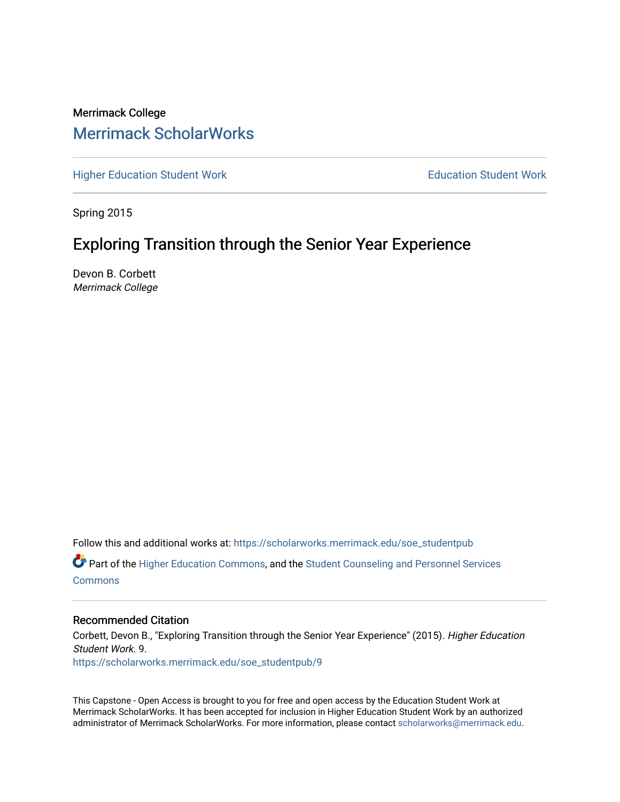# Merrimack College [Merrimack ScholarWorks](https://scholarworks.merrimack.edu/)

[Higher Education Student Work](https://scholarworks.merrimack.edu/soe_studentpub) **Education Student Work** Education Student Work

Spring 2015

# Exploring Transition through the Senior Year Experience

Devon B. Corbett Merrimack College

Follow this and additional works at: [https://scholarworks.merrimack.edu/soe\\_studentpub](https://scholarworks.merrimack.edu/soe_studentpub?utm_source=scholarworks.merrimack.edu%2Fsoe_studentpub%2F9&utm_medium=PDF&utm_campaign=PDFCoverPages) 

Part of the [Higher Education Commons,](http://network.bepress.com/hgg/discipline/1245?utm_source=scholarworks.merrimack.edu%2Fsoe_studentpub%2F9&utm_medium=PDF&utm_campaign=PDFCoverPages) and the [Student Counseling and Personnel Services](http://network.bepress.com/hgg/discipline/802?utm_source=scholarworks.merrimack.edu%2Fsoe_studentpub%2F9&utm_medium=PDF&utm_campaign=PDFCoverPages)  **[Commons](http://network.bepress.com/hgg/discipline/802?utm_source=scholarworks.merrimack.edu%2Fsoe_studentpub%2F9&utm_medium=PDF&utm_campaign=PDFCoverPages)** 

# Recommended Citation

Corbett, Devon B., "Exploring Transition through the Senior Year Experience" (2015). Higher Education Student Work. 9. [https://scholarworks.merrimack.edu/soe\\_studentpub/9](https://scholarworks.merrimack.edu/soe_studentpub/9?utm_source=scholarworks.merrimack.edu%2Fsoe_studentpub%2F9&utm_medium=PDF&utm_campaign=PDFCoverPages) 

This Capstone - Open Access is brought to you for free and open access by the Education Student Work at Merrimack ScholarWorks. It has been accepted for inclusion in Higher Education Student Work by an authorized administrator of Merrimack ScholarWorks. For more information, please contact [scholarworks@merrimack.edu](mailto:scholarworks@merrimack.edu).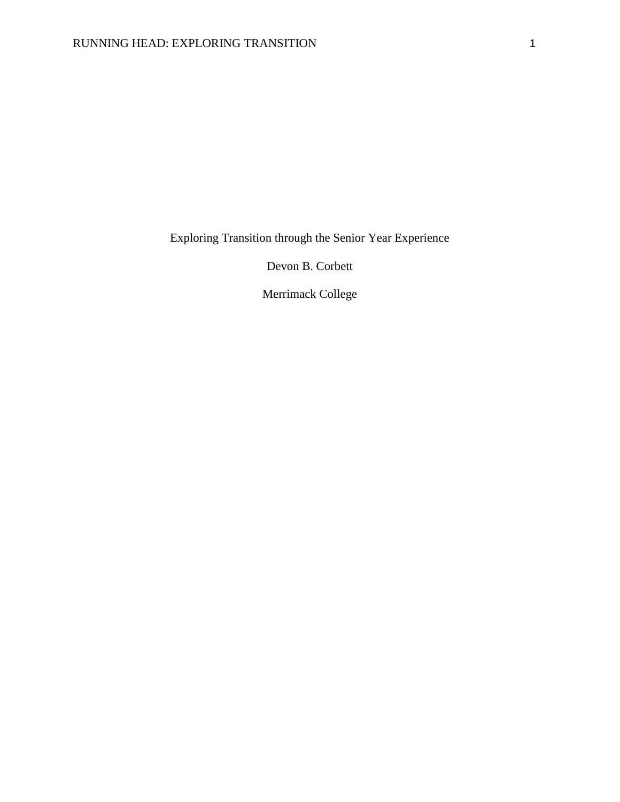Exploring Transition through the Senior Year Experience

Devon B. Corbett

Merrimack College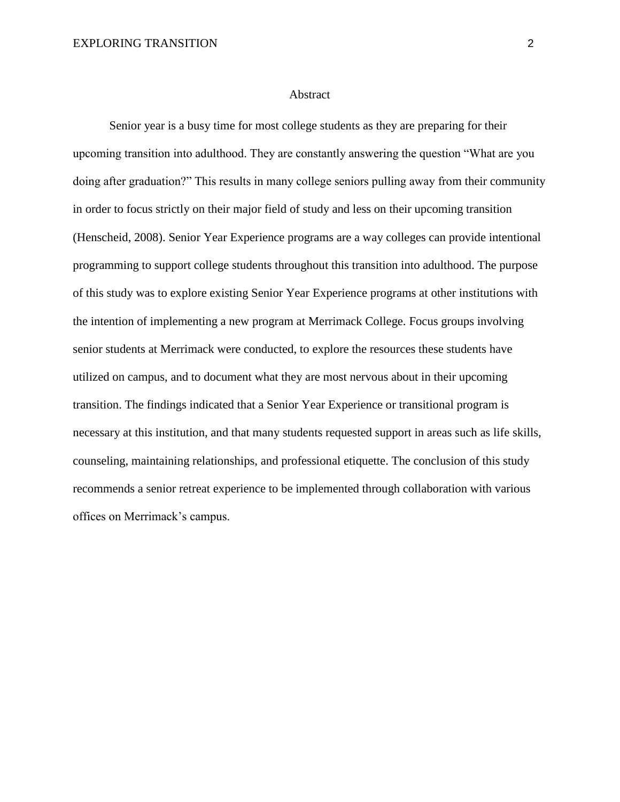#### Abstract

Senior year is a busy time for most college students as they are preparing for their upcoming transition into adulthood. They are constantly answering the question "What are you doing after graduation?" This results in many college seniors pulling away from their community in order to focus strictly on their major field of study and less on their upcoming transition (Henscheid, 2008). Senior Year Experience programs are a way colleges can provide intentional programming to support college students throughout this transition into adulthood. The purpose of this study was to explore existing Senior Year Experience programs at other institutions with the intention of implementing a new program at Merrimack College. Focus groups involving senior students at Merrimack were conducted, to explore the resources these students have utilized on campus, and to document what they are most nervous about in their upcoming transition. The findings indicated that a Senior Year Experience or transitional program is necessary at this institution, and that many students requested support in areas such as life skills, counseling, maintaining relationships, and professional etiquette. The conclusion of this study recommends a senior retreat experience to be implemented through collaboration with various offices on Merrimack's campus.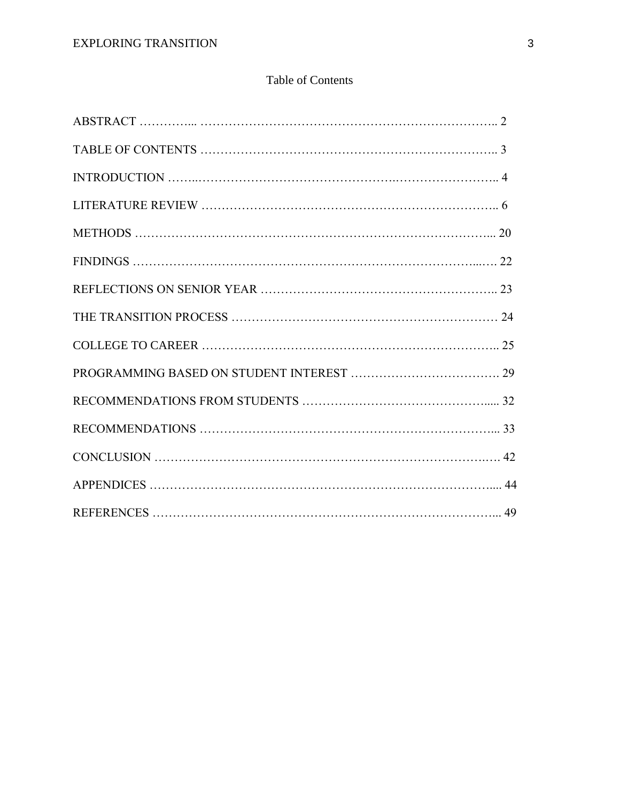# Table of Contents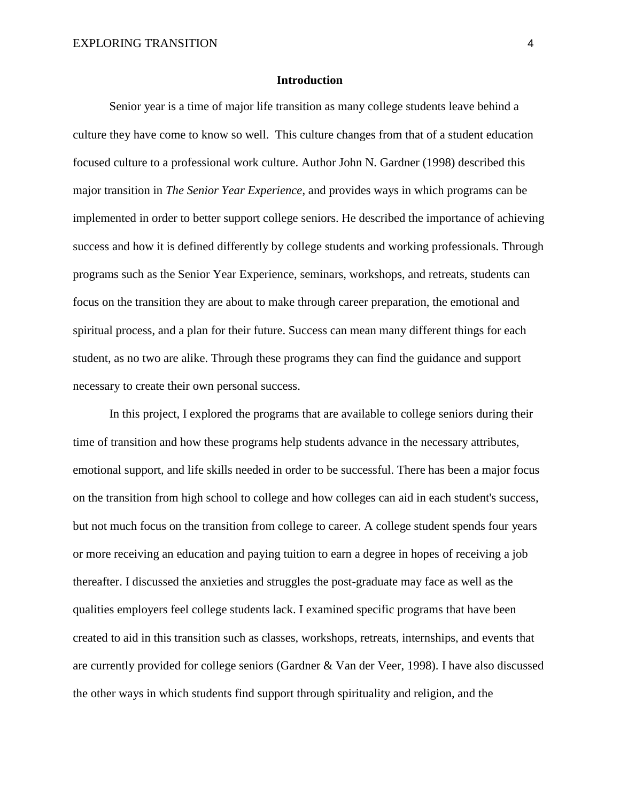# **Introduction**

Senior year is a time of major life transition as many college students leave behind a culture they have come to know so well. This culture changes from that of a student education focused culture to a professional work culture. Author John N. Gardner (1998) described this major transition in *The Senior Year Experience*, and provides ways in which programs can be implemented in order to better support college seniors. He described the importance of achieving success and how it is defined differently by college students and working professionals. Through programs such as the Senior Year Experience, seminars, workshops, and retreats, students can focus on the transition they are about to make through career preparation, the emotional and spiritual process, and a plan for their future. Success can mean many different things for each student, as no two are alike. Through these programs they can find the guidance and support necessary to create their own personal success.

In this project, I explored the programs that are available to college seniors during their time of transition and how these programs help students advance in the necessary attributes, emotional support, and life skills needed in order to be successful. There has been a major focus on the transition from high school to college and how colleges can aid in each student's success, but not much focus on the transition from college to career. A college student spends four years or more receiving an education and paying tuition to earn a degree in hopes of receiving a job thereafter. I discussed the anxieties and struggles the post-graduate may face as well as the qualities employers feel college students lack. I examined specific programs that have been created to aid in this transition such as classes, workshops, retreats, internships, and events that are currently provided for college seniors (Gardner & Van der Veer, 1998). I have also discussed the other ways in which students find support through spirituality and religion, and the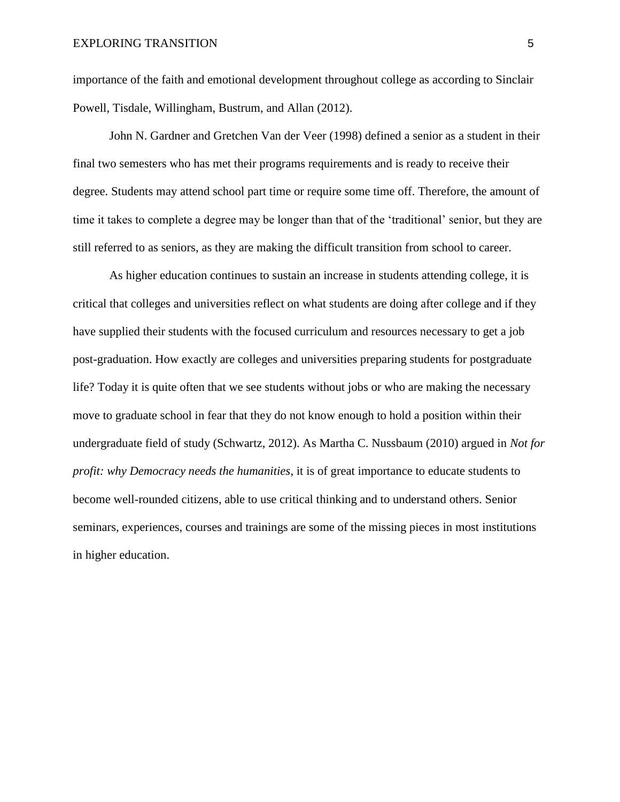importance of the faith and emotional development throughout college as according to Sinclair Powell, Tisdale, Willingham, Bustrum, and Allan (2012).

John N. Gardner and Gretchen Van der Veer (1998) defined a senior as a student in their final two semesters who has met their programs requirements and is ready to receive their degree. Students may attend school part time or require some time off. Therefore, the amount of time it takes to complete a degree may be longer than that of the 'traditional' senior, but they are still referred to as seniors, as they are making the difficult transition from school to career.

As higher education continues to sustain an increase in students attending college, it is critical that colleges and universities reflect on what students are doing after college and if they have supplied their students with the focused curriculum and resources necessary to get a job post-graduation. How exactly are colleges and universities preparing students for postgraduate life? Today it is quite often that we see students without jobs or who are making the necessary move to graduate school in fear that they do not know enough to hold a position within their undergraduate field of study (Schwartz, 2012). As Martha C. Nussbaum (2010) argued in *Not for profit: why Democracy needs the humanities*, it is of great importance to educate students to become well-rounded citizens, able to use critical thinking and to understand others. Senior seminars, experiences, courses and trainings are some of the missing pieces in most institutions in higher education.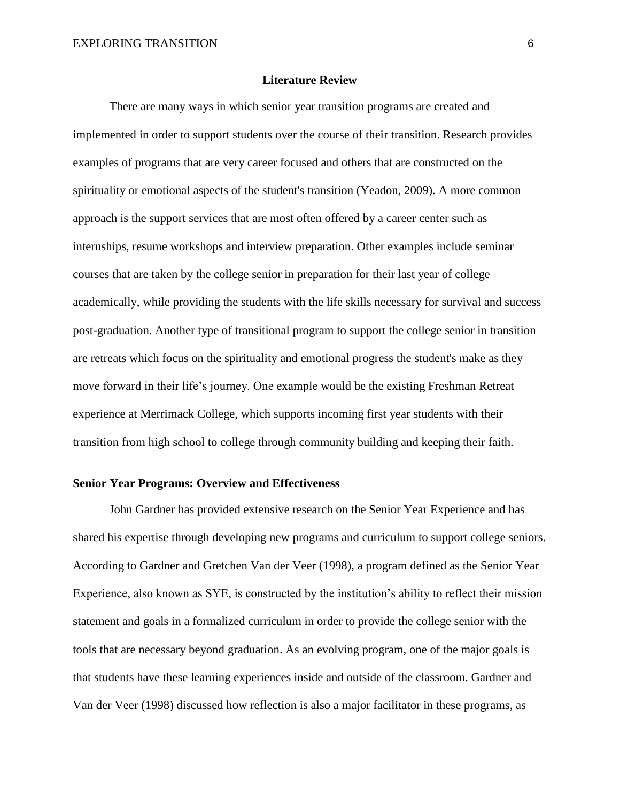# **Literature Review**

There are many ways in which senior year transition programs are created and implemented in order to support students over the course of their transition. Research provides examples of programs that are very career focused and others that are constructed on the spirituality or emotional aspects of the student's transition (Yeadon, 2009). A more common approach is the support services that are most often offered by a career center such as internships, resume workshops and interview preparation. Other examples include seminar courses that are taken by the college senior in preparation for their last year of college academically, while providing the students with the life skills necessary for survival and success post-graduation. Another type of transitional program to support the college senior in transition are retreats which focus on the spirituality and emotional progress the student's make as they move forward in their life's journey. One example would be the existing Freshman Retreat experience at Merrimack College, which supports incoming first year students with their transition from high school to college through community building and keeping their faith.

# **Senior Year Programs: Overview and Effectiveness**

John Gardner has provided extensive research on the Senior Year Experience and has shared his expertise through developing new programs and curriculum to support college seniors. According to Gardner and Gretchen Van der Veer (1998), a program defined as the Senior Year Experience, also known as SYE, is constructed by the institution's ability to reflect their mission statement and goals in a formalized curriculum in order to provide the college senior with the tools that are necessary beyond graduation. As an evolving program, one of the major goals is that students have these learning experiences inside and outside of the classroom. Gardner and Van der Veer (1998) discussed how reflection is also a major facilitator in these programs, as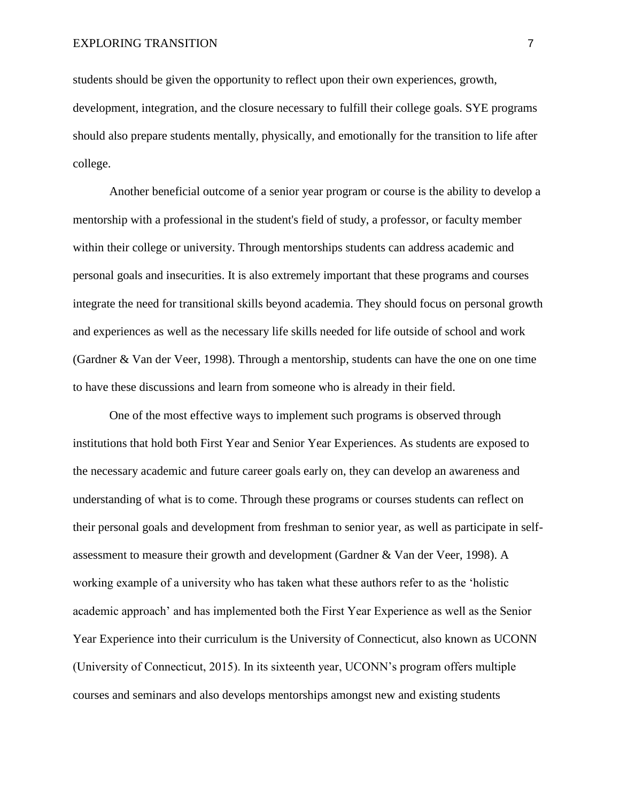students should be given the opportunity to reflect upon their own experiences, growth, development, integration, and the closure necessary to fulfill their college goals. SYE programs should also prepare students mentally, physically, and emotionally for the transition to life after college.

Another beneficial outcome of a senior year program or course is the ability to develop a mentorship with a professional in the student's field of study, a professor, or faculty member within their college or university. Through mentorships students can address academic and personal goals and insecurities. It is also extremely important that these programs and courses integrate the need for transitional skills beyond academia. They should focus on personal growth and experiences as well as the necessary life skills needed for life outside of school and work (Gardner & Van der Veer, 1998). Through a mentorship, students can have the one on one time to have these discussions and learn from someone who is already in their field.

One of the most effective ways to implement such programs is observed through institutions that hold both First Year and Senior Year Experiences. As students are exposed to the necessary academic and future career goals early on, they can develop an awareness and understanding of what is to come. Through these programs or courses students can reflect on their personal goals and development from freshman to senior year, as well as participate in selfassessment to measure their growth and development (Gardner & Van der Veer, 1998). A working example of a university who has taken what these authors refer to as the 'holistic academic approach' and has implemented both the First Year Experience as well as the Senior Year Experience into their curriculum is the University of Connecticut, also known as UCONN (University of Connecticut, 2015). In its sixteenth year, UCONN's program offers multiple courses and seminars and also develops mentorships amongst new and existing students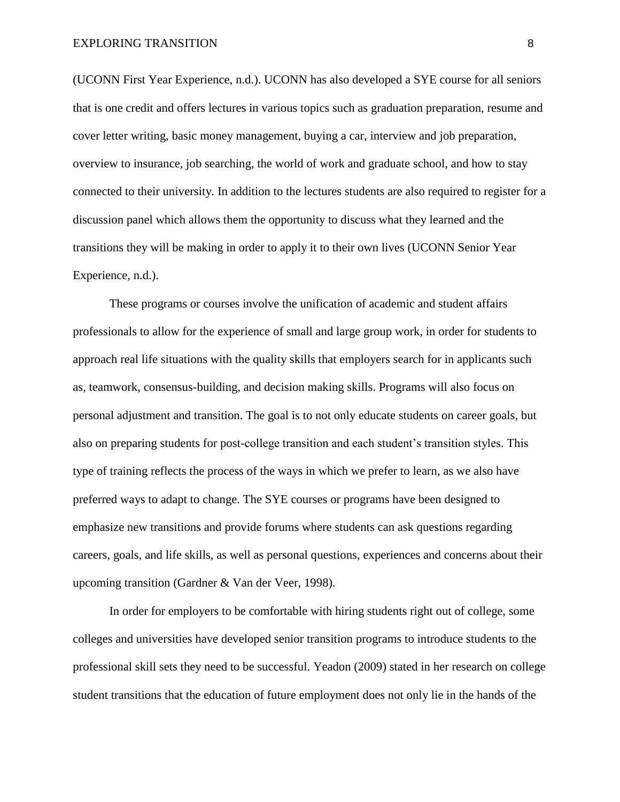(UCONN First Year Experience, n.d.). UCONN has also developed a SYE course for all seniors that is one credit and offers lectures in various topics such as graduation preparation, resume and cover letter writing, basic money management, buying a car, interview and job preparation, overview to insurance, job searching, the world of work and graduate school, and how to stay connected to their university. In addition to the lectures students are also required to register for a discussion panel which allows them the opportunity to discuss what they learned and the transitions they will be making in order to apply it to their own lives (UCONN Senior Year Experience, n.d.).

These programs or courses involve the unification of academic and student affairs professionals to allow for the experience of small and large group work, in order for students to approach real life situations with the quality skills that employers search for in applicants such as, teamwork, consensus-building, and decision making skills. Programs will also focus on personal adjustment and transition. The goal is to not only educate students on career goals, but also on preparing students for post-college transition and each student's transition styles. This type of training reflects the process of the ways in which we prefer to learn, as we also have preferred ways to adapt to change. The SYE courses or programs have been designed to emphasize new transitions and provide forums where students can ask questions regarding careers, goals, and life skills, as well as personal questions, experiences and concerns about their upcoming transition (Gardner & Van der Veer, 1998).

In order for employers to be comfortable with hiring students right out of college, some colleges and universities have developed senior transition programs to introduce students to the professional skill sets they need to be successful. Yeadon (2009) stated in her research on college student transitions that the education of future employment does not only lie in the hands of the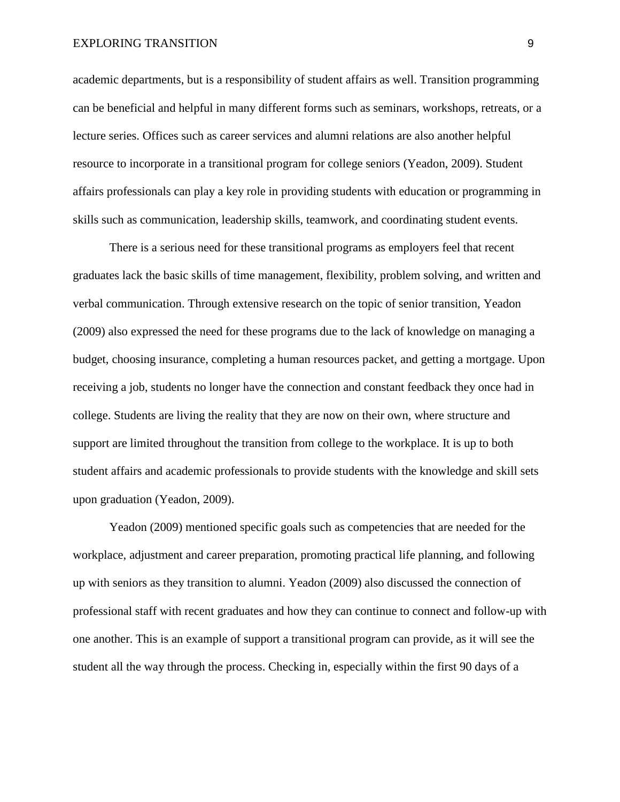academic departments, but is a responsibility of student affairs as well. Transition programming can be beneficial and helpful in many different forms such as seminars, workshops, retreats, or a lecture series. Offices such as career services and alumni relations are also another helpful resource to incorporate in a transitional program for college seniors (Yeadon, 2009). Student affairs professionals can play a key role in providing students with education or programming in skills such as communication, leadership skills, teamwork, and coordinating student events.

There is a serious need for these transitional programs as employers feel that recent graduates lack the basic skills of time management, flexibility, problem solving, and written and verbal communication. Through extensive research on the topic of senior transition, Yeadon (2009) also expressed the need for these programs due to the lack of knowledge on managing a budget, choosing insurance, completing a human resources packet, and getting a mortgage. Upon receiving a job, students no longer have the connection and constant feedback they once had in college. Students are living the reality that they are now on their own, where structure and support are limited throughout the transition from college to the workplace. It is up to both student affairs and academic professionals to provide students with the knowledge and skill sets upon graduation (Yeadon, 2009).

Yeadon (2009) mentioned specific goals such as competencies that are needed for the workplace, adjustment and career preparation, promoting practical life planning, and following up with seniors as they transition to alumni. Yeadon (2009) also discussed the connection of professional staff with recent graduates and how they can continue to connect and follow-up with one another. This is an example of support a transitional program can provide, as it will see the student all the way through the process. Checking in, especially within the first 90 days of a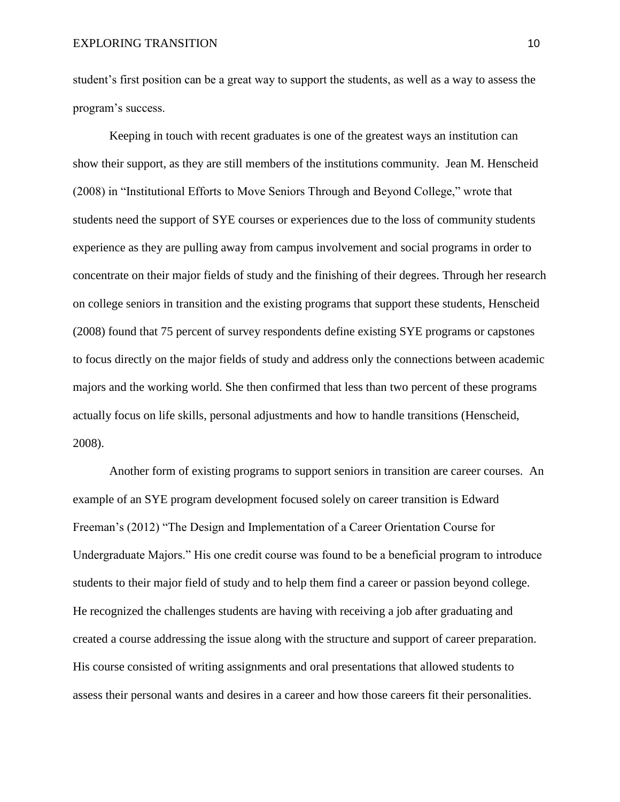student's first position can be a great way to support the students, as well as a way to assess the program's success.

Keeping in touch with recent graduates is one of the greatest ways an institution can show their support, as they are still members of the institutions community. Jean M. Henscheid (2008) in "Institutional Efforts to Move Seniors Through and Beyond College," wrote that students need the support of SYE courses or experiences due to the loss of community students experience as they are pulling away from campus involvement and social programs in order to concentrate on their major fields of study and the finishing of their degrees. Through her research on college seniors in transition and the existing programs that support these students, Henscheid (2008) found that 75 percent of survey respondents define existing SYE programs or capstones to focus directly on the major fields of study and address only the connections between academic majors and the working world. She then confirmed that less than two percent of these programs actually focus on life skills, personal adjustments and how to handle transitions (Henscheid, 2008).

Another form of existing programs to support seniors in transition are career courses. An example of an SYE program development focused solely on career transition is Edward Freeman's (2012) "The Design and Implementation of a Career Orientation Course for Undergraduate Majors." His one credit course was found to be a beneficial program to introduce students to their major field of study and to help them find a career or passion beyond college. He recognized the challenges students are having with receiving a job after graduating and created a course addressing the issue along with the structure and support of career preparation. His course consisted of writing assignments and oral presentations that allowed students to assess their personal wants and desires in a career and how those careers fit their personalities.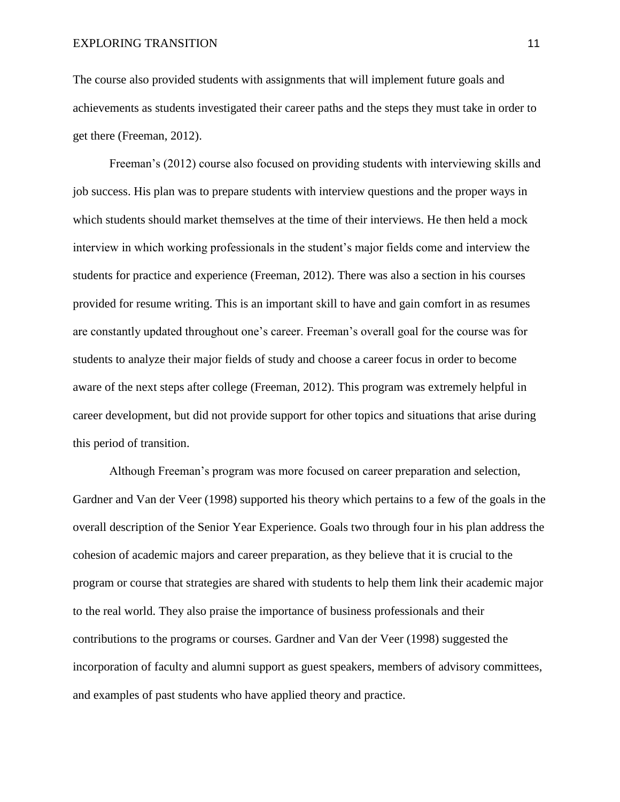The course also provided students with assignments that will implement future goals and achievements as students investigated their career paths and the steps they must take in order to get there (Freeman, 2012).

Freeman's (2012) course also focused on providing students with interviewing skills and job success. His plan was to prepare students with interview questions and the proper ways in which students should market themselves at the time of their interviews. He then held a mock interview in which working professionals in the student's major fields come and interview the students for practice and experience (Freeman, 2012). There was also a section in his courses provided for resume writing. This is an important skill to have and gain comfort in as resumes are constantly updated throughout one's career. Freeman's overall goal for the course was for students to analyze their major fields of study and choose a career focus in order to become aware of the next steps after college (Freeman, 2012). This program was extremely helpful in career development, but did not provide support for other topics and situations that arise during this period of transition.

Although Freeman's program was more focused on career preparation and selection, Gardner and Van der Veer (1998) supported his theory which pertains to a few of the goals in the overall description of the Senior Year Experience. Goals two through four in his plan address the cohesion of academic majors and career preparation, as they believe that it is crucial to the program or course that strategies are shared with students to help them link their academic major to the real world. They also praise the importance of business professionals and their contributions to the programs or courses. Gardner and Van der Veer (1998) suggested the incorporation of faculty and alumni support as guest speakers, members of advisory committees, and examples of past students who have applied theory and practice.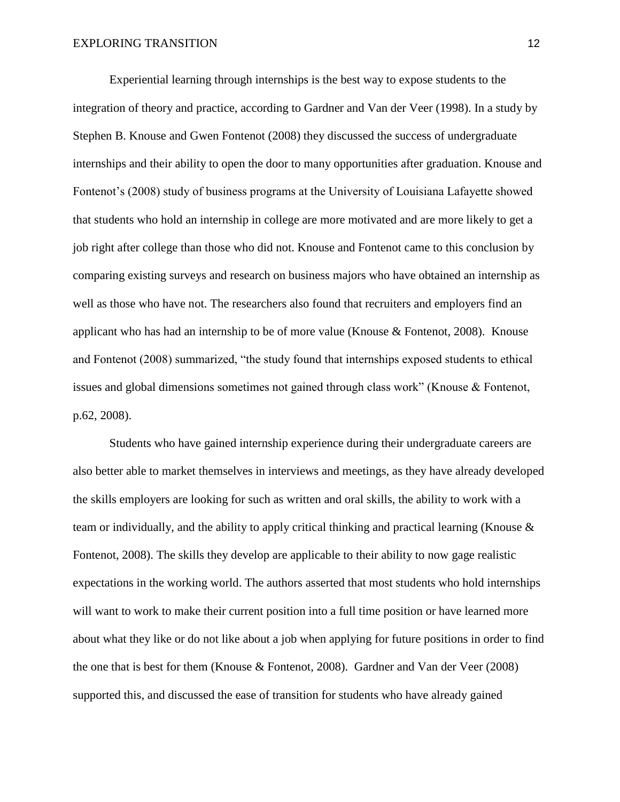Experiential learning through internships is the best way to expose students to the integration of theory and practice, according to Gardner and Van der Veer (1998). In a study by Stephen B. Knouse and Gwen Fontenot (2008) they discussed the success of undergraduate internships and their ability to open the door to many opportunities after graduation. Knouse and Fontenot's (2008) study of business programs at the University of Louisiana Lafayette showed that students who hold an internship in college are more motivated and are more likely to get a job right after college than those who did not. Knouse and Fontenot came to this conclusion by comparing existing surveys and research on business majors who have obtained an internship as well as those who have not. The researchers also found that recruiters and employers find an applicant who has had an internship to be of more value (Knouse & Fontenot, 2008). Knouse and Fontenot (2008) summarized, "the study found that internships exposed students to ethical issues and global dimensions sometimes not gained through class work" (Knouse & Fontenot, p.62, 2008).

Students who have gained internship experience during their undergraduate careers are also better able to market themselves in interviews and meetings, as they have already developed the skills employers are looking for such as written and oral skills, the ability to work with a team or individually, and the ability to apply critical thinking and practical learning (Knouse & Fontenot, 2008). The skills they develop are applicable to their ability to now gage realistic expectations in the working world. The authors asserted that most students who hold internships will want to work to make their current position into a full time position or have learned more about what they like or do not like about a job when applying for future positions in order to find the one that is best for them (Knouse & Fontenot, 2008). Gardner and Van der Veer (2008) supported this, and discussed the ease of transition for students who have already gained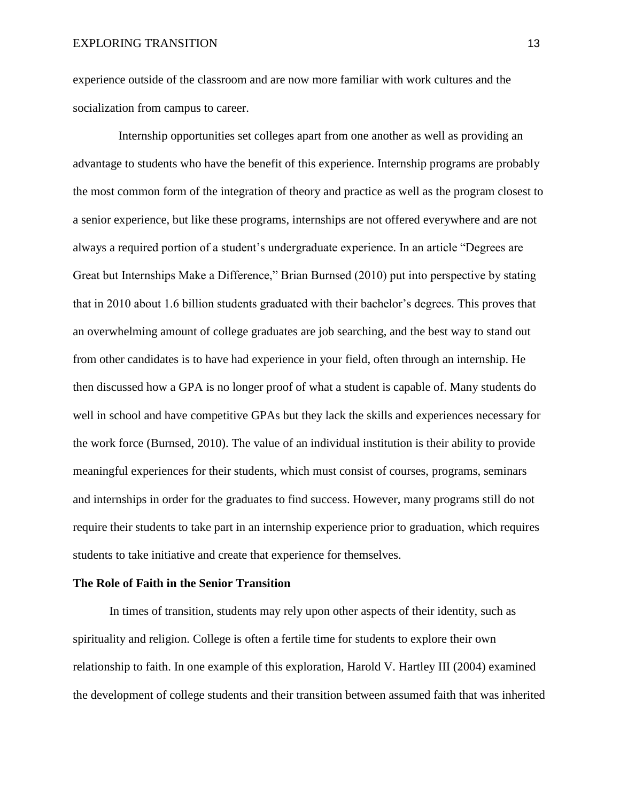experience outside of the classroom and are now more familiar with work cultures and the socialization from campus to career.

Internship opportunities set colleges apart from one another as well as providing an advantage to students who have the benefit of this experience. Internship programs are probably the most common form of the integration of theory and practice as well as the program closest to a senior experience, but like these programs, internships are not offered everywhere and are not always a required portion of a student's undergraduate experience. In an article "Degrees are Great but Internships Make a Difference," Brian Burnsed (2010) put into perspective by stating that in 2010 about 1.6 billion students graduated with their bachelor's degrees. This proves that an overwhelming amount of college graduates are job searching, and the best way to stand out from other candidates is to have had experience in your field, often through an internship. He then discussed how a GPA is no longer proof of what a student is capable of. Many students do well in school and have competitive GPAs but they lack the skills and experiences necessary for the work force (Burnsed, 2010). The value of an individual institution is their ability to provide meaningful experiences for their students, which must consist of courses, programs, seminars and internships in order for the graduates to find success. However, many programs still do not require their students to take part in an internship experience prior to graduation, which requires students to take initiative and create that experience for themselves.

## **The Role of Faith in the Senior Transition**

In times of transition, students may rely upon other aspects of their identity, such as spirituality and religion. College is often a fertile time for students to explore their own relationship to faith. In one example of this exploration, Harold V. Hartley III (2004) examined the development of college students and their transition between assumed faith that was inherited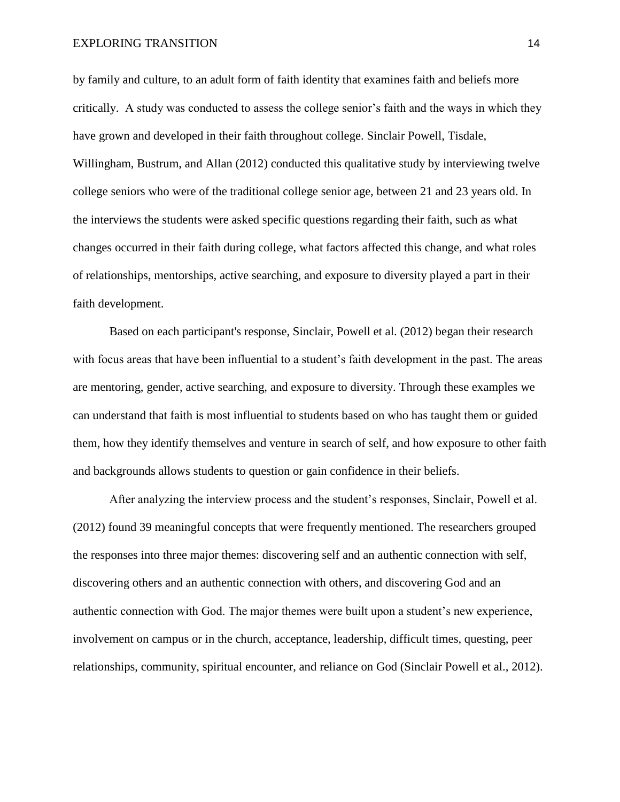by family and culture, to an adult form of faith identity that examines faith and beliefs more critically. A study was conducted to assess the college senior's faith and the ways in which they have grown and developed in their faith throughout college. Sinclair Powell, Tisdale, Willingham, Bustrum, and Allan (2012) conducted this qualitative study by interviewing twelve college seniors who were of the traditional college senior age, between 21 and 23 years old. In the interviews the students were asked specific questions regarding their faith, such as what changes occurred in their faith during college, what factors affected this change, and what roles of relationships, mentorships, active searching, and exposure to diversity played a part in their faith development.

Based on each participant's response, Sinclair, Powell et al. (2012) began their research with focus areas that have been influential to a student's faith development in the past. The areas are mentoring, gender, active searching, and exposure to diversity. Through these examples we can understand that faith is most influential to students based on who has taught them or guided them, how they identify themselves and venture in search of self, and how exposure to other faith and backgrounds allows students to question or gain confidence in their beliefs.

After analyzing the interview process and the student's responses, Sinclair, Powell et al. (2012) found 39 meaningful concepts that were frequently mentioned. The researchers grouped the responses into three major themes: discovering self and an authentic connection with self, discovering others and an authentic connection with others, and discovering God and an authentic connection with God. The major themes were built upon a student's new experience, involvement on campus or in the church, acceptance, leadership, difficult times, questing, peer relationships, community, spiritual encounter, and reliance on God (Sinclair Powell et al., 2012).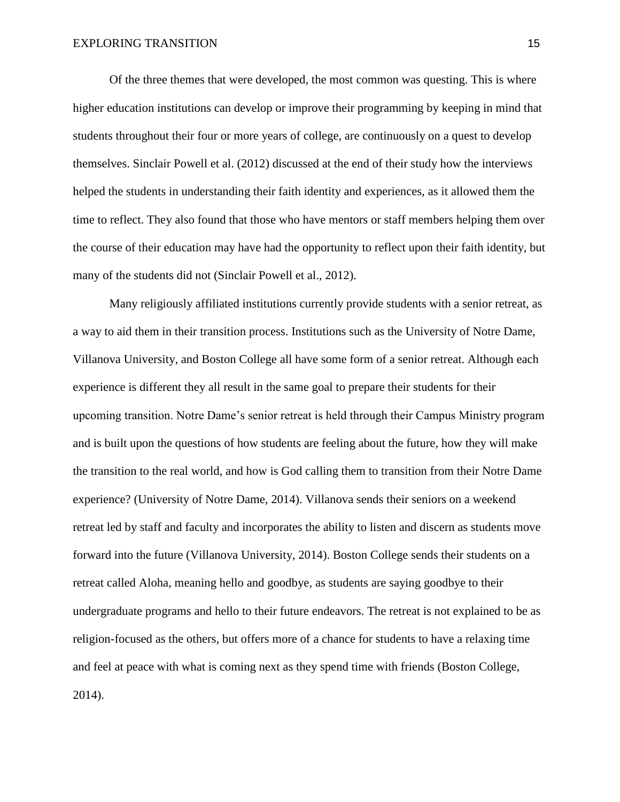Of the three themes that were developed, the most common was questing. This is where higher education institutions can develop or improve their programming by keeping in mind that students throughout their four or more years of college, are continuously on a quest to develop themselves. Sinclair Powell et al. (2012) discussed at the end of their study how the interviews helped the students in understanding their faith identity and experiences, as it allowed them the time to reflect. They also found that those who have mentors or staff members helping them over the course of their education may have had the opportunity to reflect upon their faith identity, but many of the students did not (Sinclair Powell et al., 2012).

Many religiously affiliated institutions currently provide students with a senior retreat, as a way to aid them in their transition process. Institutions such as the University of Notre Dame, Villanova University, and Boston College all have some form of a senior retreat. Although each experience is different they all result in the same goal to prepare their students for their upcoming transition. Notre Dame's senior retreat is held through their Campus Ministry program and is built upon the questions of how students are feeling about the future, how they will make the transition to the real world, and how is God calling them to transition from their Notre Dame experience? (University of Notre Dame, 2014). Villanova sends their seniors on a weekend retreat led by staff and faculty and incorporates the ability to listen and discern as students move forward into the future (Villanova University, 2014). Boston College sends their students on a retreat called Aloha, meaning hello and goodbye, as students are saying goodbye to their undergraduate programs and hello to their future endeavors. The retreat is not explained to be as religion-focused as the others, but offers more of a chance for students to have a relaxing time and feel at peace with what is coming next as they spend time with friends (Boston College, 2014).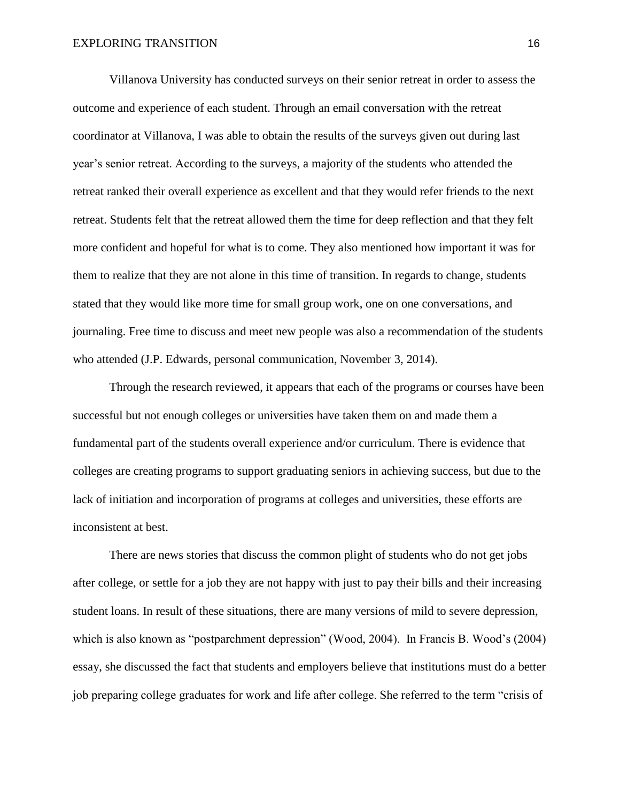Villanova University has conducted surveys on their senior retreat in order to assess the outcome and experience of each student. Through an email conversation with the retreat coordinator at Villanova, I was able to obtain the results of the surveys given out during last year's senior retreat. According to the surveys, a majority of the students who attended the retreat ranked their overall experience as excellent and that they would refer friends to the next retreat. Students felt that the retreat allowed them the time for deep reflection and that they felt more confident and hopeful for what is to come. They also mentioned how important it was for them to realize that they are not alone in this time of transition. In regards to change, students stated that they would like more time for small group work, one on one conversations, and journaling. Free time to discuss and meet new people was also a recommendation of the students who attended (J.P. Edwards, personal communication, November 3, 2014).

Through the research reviewed, it appears that each of the programs or courses have been successful but not enough colleges or universities have taken them on and made them a fundamental part of the students overall experience and/or curriculum. There is evidence that colleges are creating programs to support graduating seniors in achieving success, but due to the lack of initiation and incorporation of programs at colleges and universities, these efforts are inconsistent at best.

 There are news stories that discuss the common plight of students who do not get jobs after college, or settle for a job they are not happy with just to pay their bills and their increasing student loans. In result of these situations, there are many versions of mild to severe depression, which is also known as "postparchment depression" (Wood, 2004). In Francis B. Wood's (2004) essay, she discussed the fact that students and employers believe that institutions must do a better job preparing college graduates for work and life after college. She referred to the term "crisis of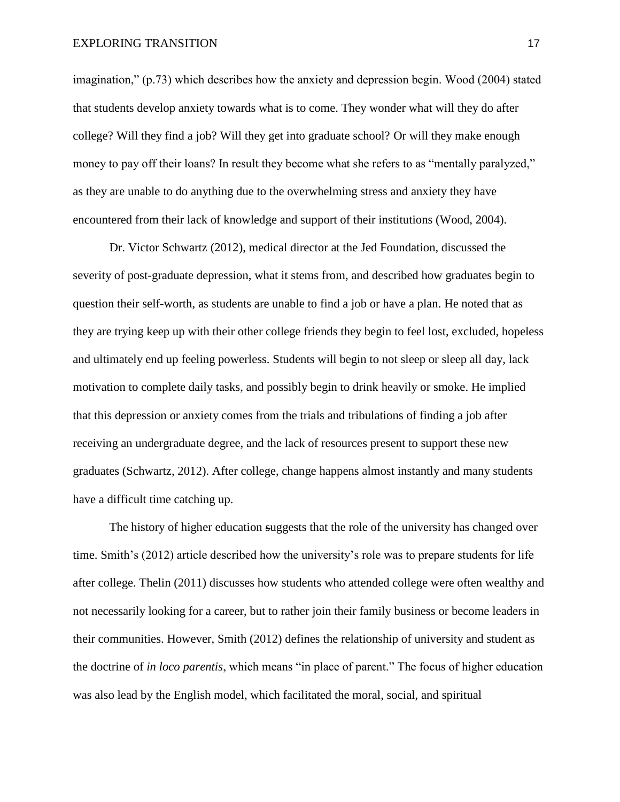imagination," (p.73) which describes how the anxiety and depression begin. Wood (2004) stated that students develop anxiety towards what is to come. They wonder what will they do after college? Will they find a job? Will they get into graduate school? Or will they make enough money to pay off their loans? In result they become what she refers to as "mentally paralyzed," as they are unable to do anything due to the overwhelming stress and anxiety they have encountered from their lack of knowledge and support of their institutions (Wood, 2004).

 Dr. Victor Schwartz (2012), medical director at the Jed Foundation, discussed the severity of post-graduate depression, what it stems from, and described how graduates begin to question their self-worth, as students are unable to find a job or have a plan. He noted that as they are trying keep up with their other college friends they begin to feel lost, excluded, hopeless and ultimately end up feeling powerless. Students will begin to not sleep or sleep all day, lack motivation to complete daily tasks, and possibly begin to drink heavily or smoke. He implied that this depression or anxiety comes from the trials and tribulations of finding a job after receiving an undergraduate degree, and the lack of resources present to support these new graduates (Schwartz, 2012). After college, change happens almost instantly and many students have a difficult time catching up.

The history of higher education suggests that the role of the university has changed over time. Smith's (2012) article described how the university's role was to prepare students for life after college. Thelin (2011) discusses how students who attended college were often wealthy and not necessarily looking for a career, but to rather join their family business or become leaders in their communities. However, Smith (2012) defines the relationship of university and student as the doctrine of *in loco parentis*, which means "in place of parent." The focus of higher education was also lead by the English model, which facilitated the moral, social, and spiritual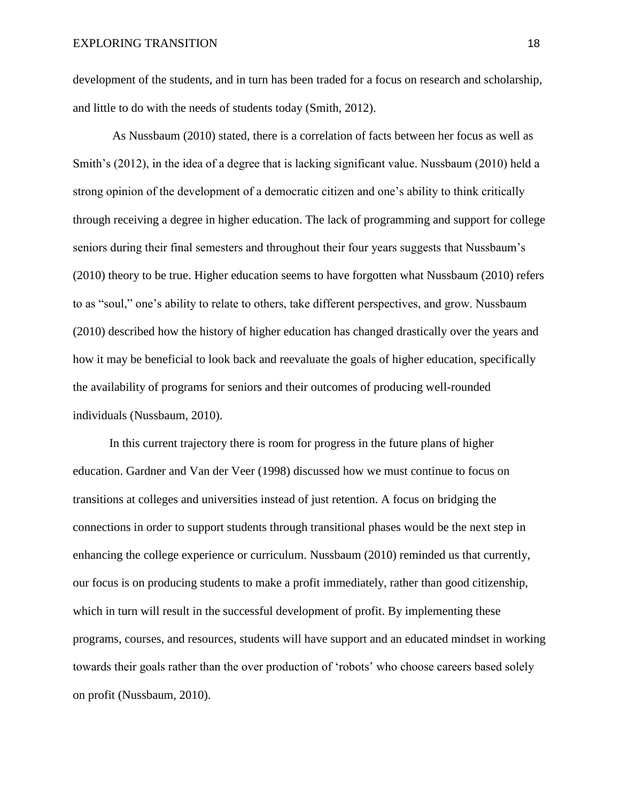development of the students, and in turn has been traded for a focus on research and scholarship, and little to do with the needs of students today (Smith, 2012).

 As Nussbaum (2010) stated, there is a correlation of facts between her focus as well as Smith's (2012), in the idea of a degree that is lacking significant value. Nussbaum (2010) held a strong opinion of the development of a democratic citizen and one's ability to think critically through receiving a degree in higher education. The lack of programming and support for college seniors during their final semesters and throughout their four years suggests that Nussbaum's (2010) theory to be true. Higher education seems to have forgotten what Nussbaum (2010) refers to as "soul," one's ability to relate to others, take different perspectives, and grow. Nussbaum (2010) described how the history of higher education has changed drastically over the years and how it may be beneficial to look back and reevaluate the goals of higher education, specifically the availability of programs for seniors and their outcomes of producing well-rounded individuals (Nussbaum, 2010).

 In this current trajectory there is room for progress in the future plans of higher education. Gardner and Van der Veer (1998) discussed how we must continue to focus on transitions at colleges and universities instead of just retention. A focus on bridging the connections in order to support students through transitional phases would be the next step in enhancing the college experience or curriculum. Nussbaum (2010) reminded us that currently, our focus is on producing students to make a profit immediately, rather than good citizenship, which in turn will result in the successful development of profit. By implementing these programs, courses, and resources, students will have support and an educated mindset in working towards their goals rather than the over production of 'robots' who choose careers based solely on profit (Nussbaum, 2010).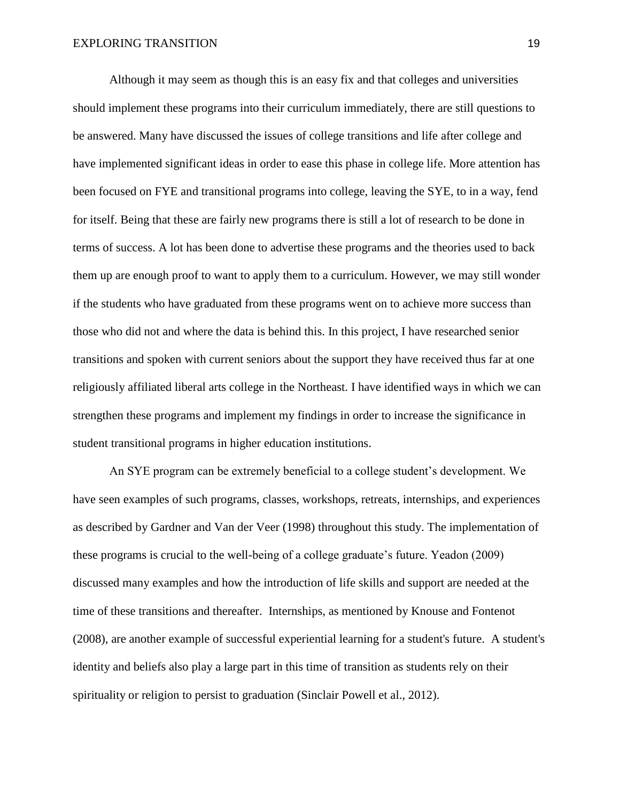Although it may seem as though this is an easy fix and that colleges and universities should implement these programs into their curriculum immediately, there are still questions to be answered. Many have discussed the issues of college transitions and life after college and have implemented significant ideas in order to ease this phase in college life. More attention has been focused on FYE and transitional programs into college, leaving the SYE, to in a way, fend for itself. Being that these are fairly new programs there is still a lot of research to be done in terms of success. A lot has been done to advertise these programs and the theories used to back them up are enough proof to want to apply them to a curriculum. However, we may still wonder if the students who have graduated from these programs went on to achieve more success than those who did not and where the data is behind this. In this project, I have researched senior transitions and spoken with current seniors about the support they have received thus far at one religiously affiliated liberal arts college in the Northeast. I have identified ways in which we can strengthen these programs and implement my findings in order to increase the significance in student transitional programs in higher education institutions.

 An SYE program can be extremely beneficial to a college student's development. We have seen examples of such programs, classes, workshops, retreats, internships, and experiences as described by Gardner and Van der Veer (1998) throughout this study. The implementation of these programs is crucial to the well-being of a college graduate's future. Yeadon (2009) discussed many examples and how the introduction of life skills and support are needed at the time of these transitions and thereafter. Internships, as mentioned by Knouse and Fontenot (2008), are another example of successful experiential learning for a student's future. A student's identity and beliefs also play a large part in this time of transition as students rely on their spirituality or religion to persist to graduation (Sinclair Powell et al., 2012).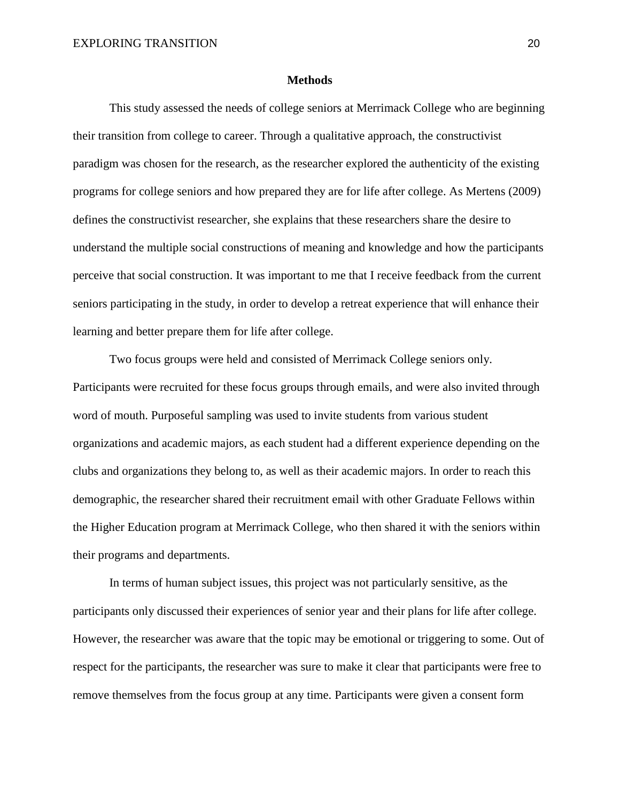#### **Methods**

This study assessed the needs of college seniors at Merrimack College who are beginning their transition from college to career. Through a qualitative approach, the constructivist paradigm was chosen for the research, as the researcher explored the authenticity of the existing programs for college seniors and how prepared they are for life after college. As Mertens (2009) defines the constructivist researcher, she explains that these researchers share the desire to understand the multiple social constructions of meaning and knowledge and how the participants perceive that social construction. It was important to me that I receive feedback from the current seniors participating in the study, in order to develop a retreat experience that will enhance their learning and better prepare them for life after college.

Two focus groups were held and consisted of Merrimack College seniors only. Participants were recruited for these focus groups through emails, and were also invited through word of mouth. Purposeful sampling was used to invite students from various student organizations and academic majors, as each student had a different experience depending on the clubs and organizations they belong to, as well as their academic majors. In order to reach this demographic, the researcher shared their recruitment email with other Graduate Fellows within the Higher Education program at Merrimack College, who then shared it with the seniors within their programs and departments.

In terms of human subject issues, this project was not particularly sensitive, as the participants only discussed their experiences of senior year and their plans for life after college. However, the researcher was aware that the topic may be emotional or triggering to some. Out of respect for the participants, the researcher was sure to make it clear that participants were free to remove themselves from the focus group at any time. Participants were given a consent form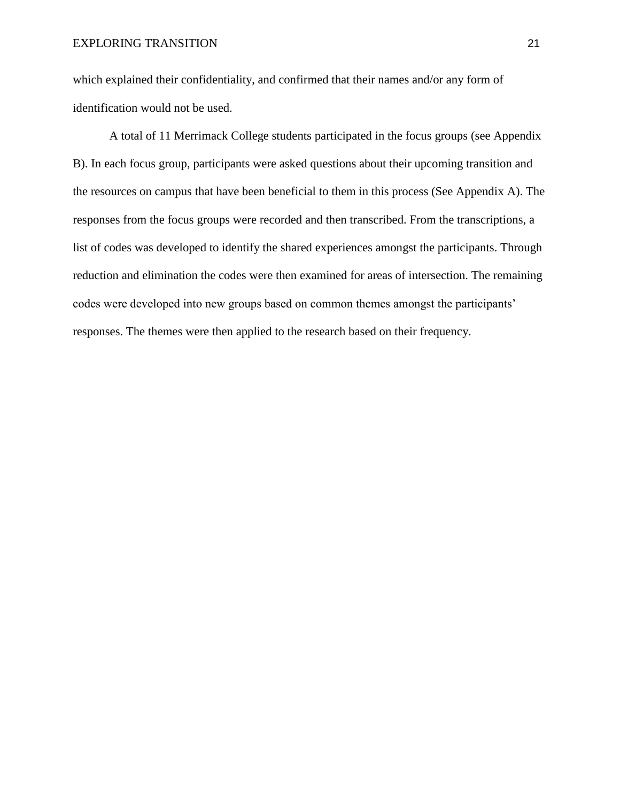which explained their confidentiality, and confirmed that their names and/or any form of identification would not be used.

A total of 11 Merrimack College students participated in the focus groups (see Appendix B). In each focus group, participants were asked questions about their upcoming transition and the resources on campus that have been beneficial to them in this process (See Appendix A). The responses from the focus groups were recorded and then transcribed. From the transcriptions, a list of codes was developed to identify the shared experiences amongst the participants. Through reduction and elimination the codes were then examined for areas of intersection. The remaining codes were developed into new groups based on common themes amongst the participants' responses. The themes were then applied to the research based on their frequency.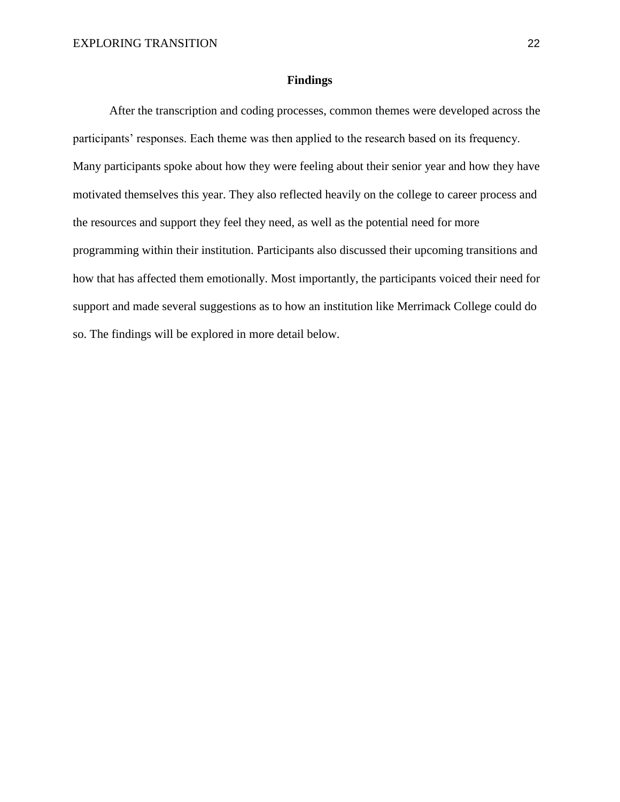#### **Findings**

After the transcription and coding processes, common themes were developed across the participants' responses. Each theme was then applied to the research based on its frequency. Many participants spoke about how they were feeling about their senior year and how they have motivated themselves this year. They also reflected heavily on the college to career process and the resources and support they feel they need, as well as the potential need for more programming within their institution. Participants also discussed their upcoming transitions and how that has affected them emotionally. Most importantly, the participants voiced their need for support and made several suggestions as to how an institution like Merrimack College could do so. The findings will be explored in more detail below.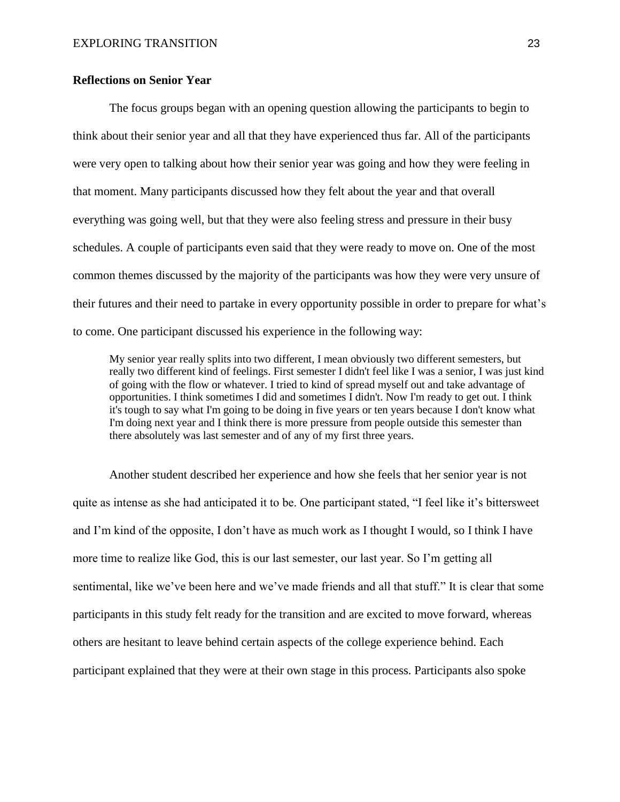# **Reflections on Senior Year**

The focus groups began with an opening question allowing the participants to begin to think about their senior year and all that they have experienced thus far. All of the participants were very open to talking about how their senior year was going and how they were feeling in that moment. Many participants discussed how they felt about the year and that overall everything was going well, but that they were also feeling stress and pressure in their busy schedules. A couple of participants even said that they were ready to move on. One of the most common themes discussed by the majority of the participants was how they were very unsure of their futures and their need to partake in every opportunity possible in order to prepare for what's to come. One participant discussed his experience in the following way:

My senior year really splits into two different, I mean obviously two different semesters, but really two different kind of feelings. First semester I didn't feel like I was a senior, I was just kind of going with the flow or whatever. I tried to kind of spread myself out and take advantage of opportunities. I think sometimes I did and sometimes I didn't. Now I'm ready to get out. I think it's tough to say what I'm going to be doing in five years or ten years because I don't know what I'm doing next year and I think there is more pressure from people outside this semester than there absolutely was last semester and of any of my first three years.

Another student described her experience and how she feels that her senior year is not quite as intense as she had anticipated it to be. One participant stated, "I feel like it's bittersweet and I'm kind of the opposite, I don't have as much work as I thought I would, so I think I have more time to realize like God, this is our last semester, our last year. So I'm getting all sentimental, like we've been here and we've made friends and all that stuff." It is clear that some participants in this study felt ready for the transition and are excited to move forward, whereas others are hesitant to leave behind certain aspects of the college experience behind. Each participant explained that they were at their own stage in this process. Participants also spoke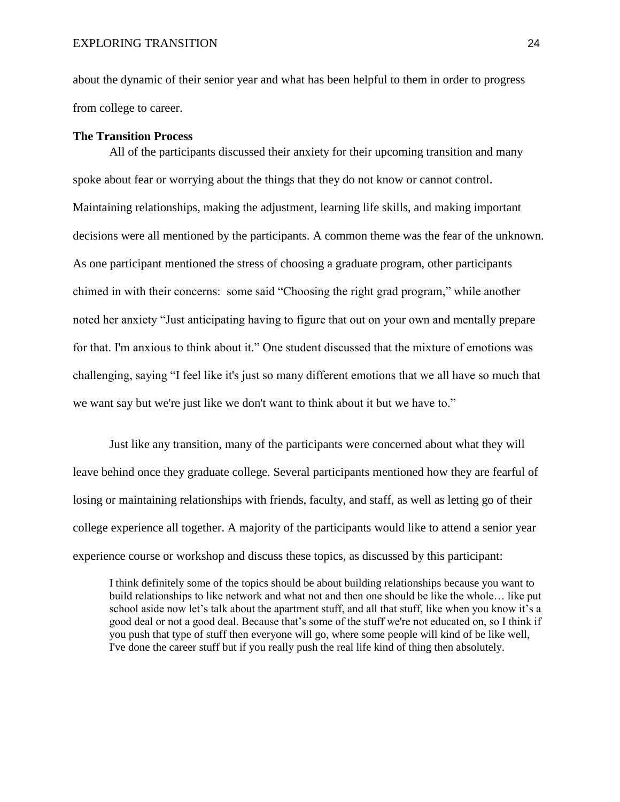about the dynamic of their senior year and what has been helpful to them in order to progress from college to career.

#### **The Transition Process**

All of the participants discussed their anxiety for their upcoming transition and many spoke about fear or worrying about the things that they do not know or cannot control. Maintaining relationships, making the adjustment, learning life skills, and making important decisions were all mentioned by the participants. A common theme was the fear of the unknown. As one participant mentioned the stress of choosing a graduate program, other participants chimed in with their concerns: some said "Choosing the right grad program," while another noted her anxiety "Just anticipating having to figure that out on your own and mentally prepare for that. I'm anxious to think about it." One student discussed that the mixture of emotions was challenging, saying "I feel like it's just so many different emotions that we all have so much that we want say but we're just like we don't want to think about it but we have to."

Just like any transition, many of the participants were concerned about what they will leave behind once they graduate college. Several participants mentioned how they are fearful of losing or maintaining relationships with friends, faculty, and staff, as well as letting go of their college experience all together. A majority of the participants would like to attend a senior year experience course or workshop and discuss these topics, as discussed by this participant:

I think definitely some of the topics should be about building relationships because you want to build relationships to like network and what not and then one should be like the whole… like put school aside now let's talk about the apartment stuff, and all that stuff, like when you know it's a good deal or not a good deal. Because that's some of the stuff we're not educated on, so I think if you push that type of stuff then everyone will go, where some people will kind of be like well, I've done the career stuff but if you really push the real life kind of thing then absolutely.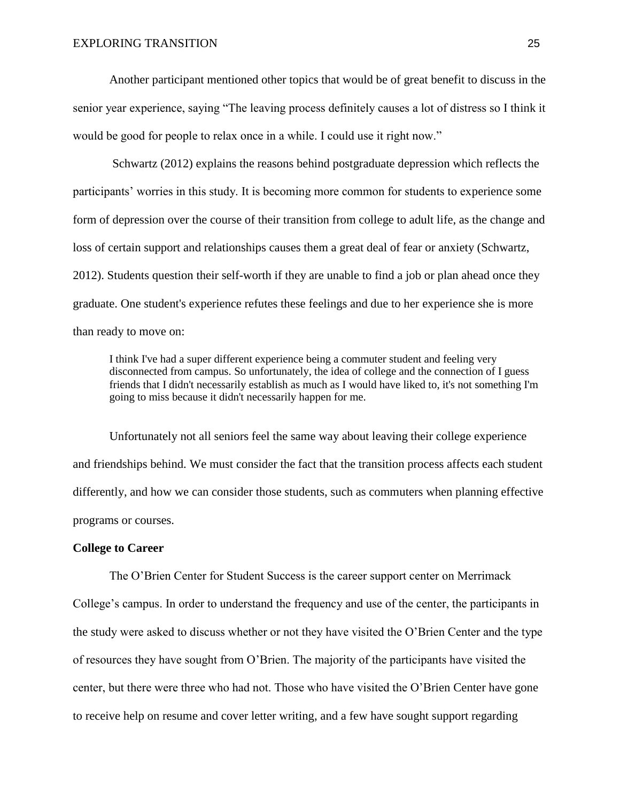Another participant mentioned other topics that would be of great benefit to discuss in the senior year experience, saying "The leaving process definitely causes a lot of distress so I think it would be good for people to relax once in a while. I could use it right now."

Schwartz (2012) explains the reasons behind postgraduate depression which reflects the participants' worries in this study. It is becoming more common for students to experience some form of depression over the course of their transition from college to adult life, as the change and loss of certain support and relationships causes them a great deal of fear or anxiety (Schwartz, 2012). Students question their self-worth if they are unable to find a job or plan ahead once they graduate. One student's experience refutes these feelings and due to her experience she is more than ready to move on:

I think I've had a super different experience being a commuter student and feeling very disconnected from campus. So unfortunately, the idea of college and the connection of I guess friends that I didn't necessarily establish as much as I would have liked to, it's not something I'm going to miss because it didn't necessarily happen for me.

Unfortunately not all seniors feel the same way about leaving their college experience and friendships behind. We must consider the fact that the transition process affects each student differently, and how we can consider those students, such as commuters when planning effective programs or courses.

## **College to Career**

The O'Brien Center for Student Success is the career support center on Merrimack College's campus. In order to understand the frequency and use of the center, the participants in the study were asked to discuss whether or not they have visited the O'Brien Center and the type of resources they have sought from O'Brien. The majority of the participants have visited the center, but there were three who had not. Those who have visited the O'Brien Center have gone to receive help on resume and cover letter writing, and a few have sought support regarding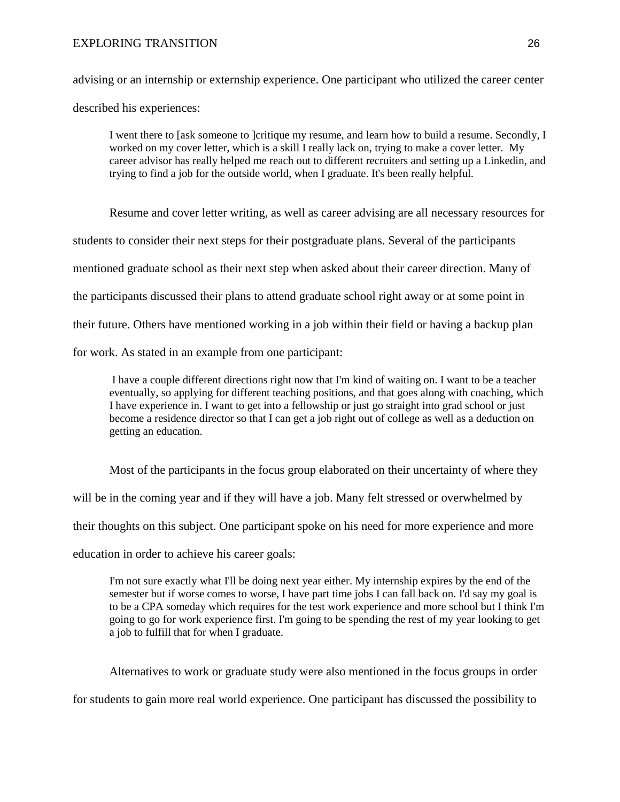## EXPLORING TRANSITION 26

advising or an internship or externship experience. One participant who utilized the career center described his experiences:

I went there to [ask someone to ]critique my resume, and learn how to build a resume. Secondly, I worked on my cover letter, which is a skill I really lack on, trying to make a cover letter. My career advisor has really helped me reach out to different recruiters and setting up a Linkedin, and trying to find a job for the outside world, when I graduate. It's been really helpful.

Resume and cover letter writing, as well as career advising are all necessary resources for students to consider their next steps for their postgraduate plans. Several of the participants mentioned graduate school as their next step when asked about their career direction. Many of the participants discussed their plans to attend graduate school right away or at some point in their future. Others have mentioned working in a job within their field or having a backup plan for work. As stated in an example from one participant:

I have a couple different directions right now that I'm kind of waiting on. I want to be a teacher eventually, so applying for different teaching positions, and that goes along with coaching, which I have experience in. I want to get into a fellowship or just go straight into grad school or just become a residence director so that I can get a job right out of college as well as a deduction on getting an education.

Most of the participants in the focus group elaborated on their uncertainty of where they will be in the coming year and if they will have a job. Many felt stressed or overwhelmed by their thoughts on this subject. One participant spoke on his need for more experience and more education in order to achieve his career goals:

I'm not sure exactly what I'll be doing next year either. My internship expires by the end of the semester but if worse comes to worse, I have part time jobs I can fall back on. I'd say my goal is to be a CPA someday which requires for the test work experience and more school but I think I'm going to go for work experience first. I'm going to be spending the rest of my year looking to get a job to fulfill that for when I graduate.

Alternatives to work or graduate study were also mentioned in the focus groups in order

for students to gain more real world experience. One participant has discussed the possibility to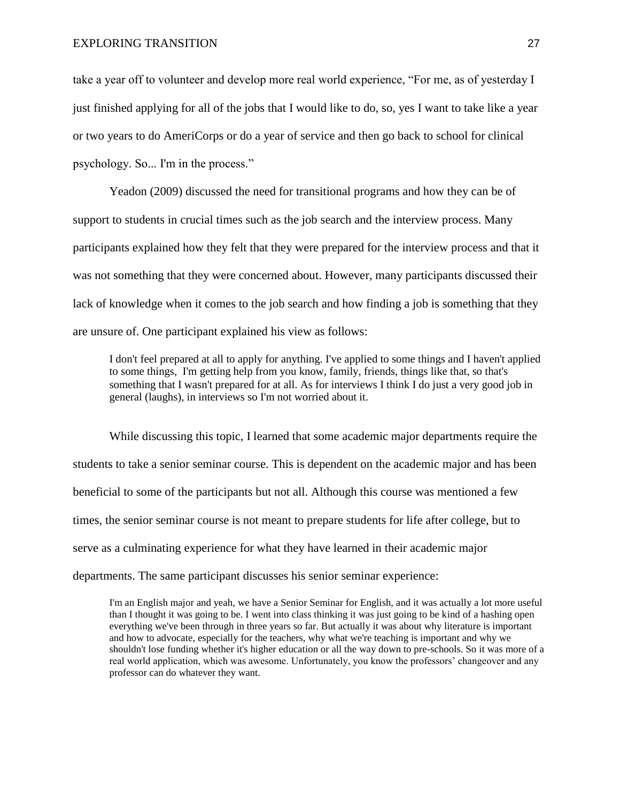take a year off to volunteer and develop more real world experience, "For me, as of yesterday I just finished applying for all of the jobs that I would like to do, so, yes I want to take like a year or two years to do AmeriCorps or do a year of service and then go back to school for clinical psychology. So... I'm in the process."

Yeadon (2009) discussed the need for transitional programs and how they can be of support to students in crucial times such as the job search and the interview process. Many participants explained how they felt that they were prepared for the interview process and that it was not something that they were concerned about. However, many participants discussed their lack of knowledge when it comes to the job search and how finding a job is something that they are unsure of. One participant explained his view as follows:

I don't feel prepared at all to apply for anything. I've applied to some things and I haven't applied to some things, I'm getting help from you know, family, friends, things like that, so that's something that I wasn't prepared for at all. As for interviews I think I do just a very good job in general (laughs), in interviews so I'm not worried about it.

While discussing this topic, I learned that some academic major departments require the students to take a senior seminar course. This is dependent on the academic major and has been beneficial to some of the participants but not all. Although this course was mentioned a few times, the senior seminar course is not meant to prepare students for life after college, but to serve as a culminating experience for what they have learned in their academic major departments. The same participant discusses his senior seminar experience:

I'm an English major and yeah, we have a Senior Seminar for English, and it was actually a lot more useful than I thought it was going to be. I went into class thinking it was just going to be kind of a hashing open everything we've been through in three years so far. But actually it was about why literature is important and how to advocate, especially for the teachers, why what we're teaching is important and why we shouldn't lose funding whether it's higher education or all the way down to pre-schools. So it was more of a real world application, which was awesome. Unfortunately, you know the professors' changeover and any professor can do whatever they want.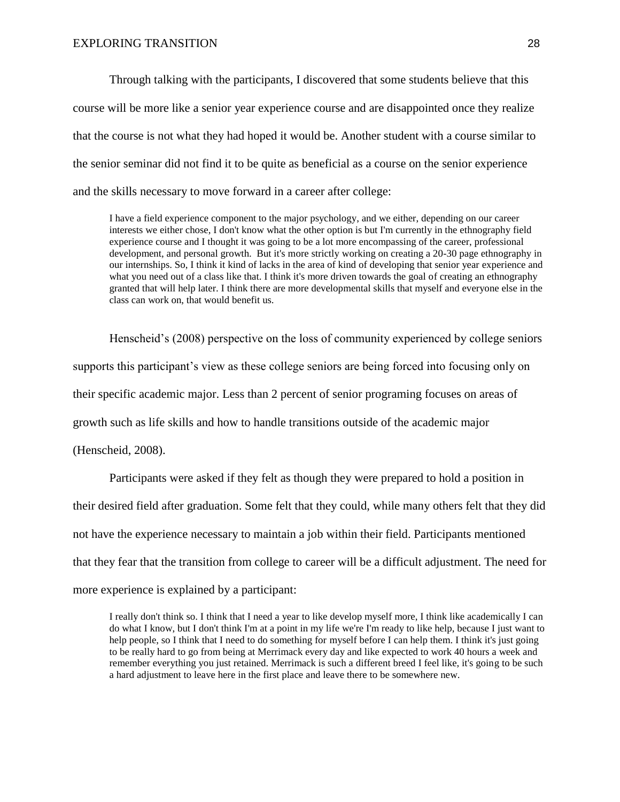Through talking with the participants, I discovered that some students believe that this course will be more like a senior year experience course and are disappointed once they realize that the course is not what they had hoped it would be. Another student with a course similar to the senior seminar did not find it to be quite as beneficial as a course on the senior experience and the skills necessary to move forward in a career after college:

I have a field experience component to the major psychology, and we either, depending on our career interests we either chose, I don't know what the other option is but I'm currently in the ethnography field experience course and I thought it was going to be a lot more encompassing of the career, professional development, and personal growth. But it's more strictly working on creating a 20-30 page ethnography in our internships. So, I think it kind of lacks in the area of kind of developing that senior year experience and what you need out of a class like that. I think it's more driven towards the goal of creating an ethnography granted that will help later. I think there are more developmental skills that myself and everyone else in the class can work on, that would benefit us.

Henscheid's (2008) perspective on the loss of community experienced by college seniors supports this participant's view as these college seniors are being forced into focusing only on their specific academic major. Less than 2 percent of senior programing focuses on areas of growth such as life skills and how to handle transitions outside of the academic major (Henscheid, 2008).

Participants were asked if they felt as though they were prepared to hold a position in their desired field after graduation. Some felt that they could, while many others felt that they did not have the experience necessary to maintain a job within their field. Participants mentioned that they fear that the transition from college to career will be a difficult adjustment. The need for more experience is explained by a participant:

I really don't think so. I think that I need a year to like develop myself more, I think like academically I can do what I know, but I don't think I'm at a point in my life we're I'm ready to like help, because I just want to help people, so I think that I need to do something for myself before I can help them. I think it's just going to be really hard to go from being at Merrimack every day and like expected to work 40 hours a week and remember everything you just retained. Merrimack is such a different breed I feel like, it's going to be such a hard adjustment to leave here in the first place and leave there to be somewhere new.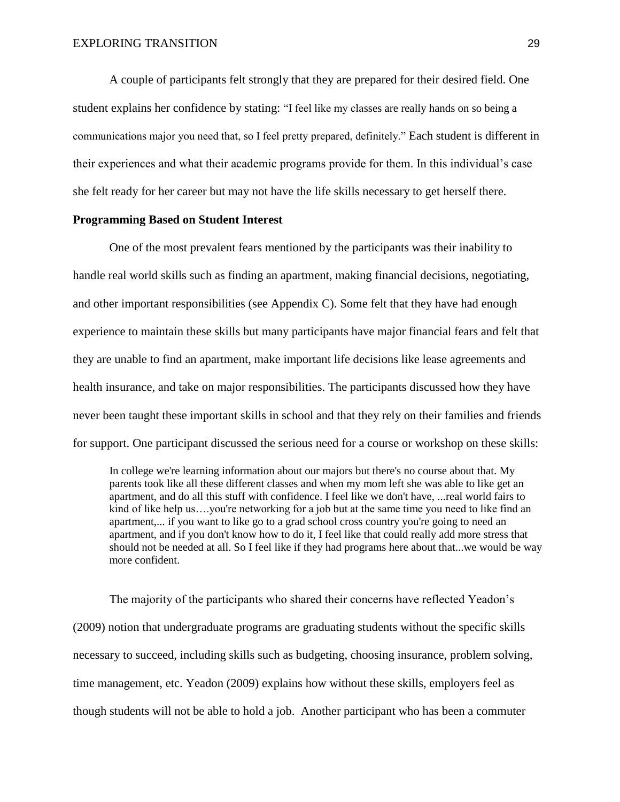A couple of participants felt strongly that they are prepared for their desired field. One student explains her confidence by stating: "I feel like my classes are really hands on so being a communications major you need that, so I feel pretty prepared, definitely." Each student is different in their experiences and what their academic programs provide for them. In this individual's case she felt ready for her career but may not have the life skills necessary to get herself there.

## **Programming Based on Student Interest**

One of the most prevalent fears mentioned by the participants was their inability to handle real world skills such as finding an apartment, making financial decisions, negotiating, and other important responsibilities (see Appendix C). Some felt that they have had enough experience to maintain these skills but many participants have major financial fears and felt that they are unable to find an apartment, make important life decisions like lease agreements and health insurance, and take on major responsibilities. The participants discussed how they have never been taught these important skills in school and that they rely on their families and friends for support. One participant discussed the serious need for a course or workshop on these skills:

In college we're learning information about our majors but there's no course about that. My parents took like all these different classes and when my mom left she was able to like get an apartment, and do all this stuff with confidence. I feel like we don't have, ...real world fairs to kind of like help us....you're networking for a job but at the same time you need to like find an apartment,... if you want to like go to a grad school cross country you're going to need an apartment, and if you don't know how to do it, I feel like that could really add more stress that should not be needed at all. So I feel like if they had programs here about that...we would be way more confident.

The majority of the participants who shared their concerns have reflected Yeadon's (2009) notion that undergraduate programs are graduating students without the specific skills necessary to succeed, including skills such as budgeting, choosing insurance, problem solving, time management, etc. Yeadon (2009) explains how without these skills, employers feel as though students will not be able to hold a job. Another participant who has been a commuter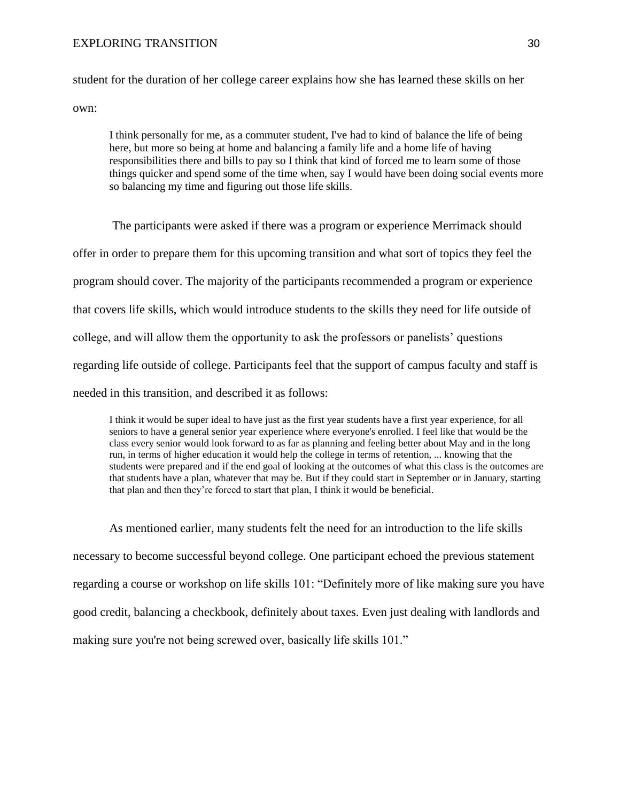## EXPLORING TRANSITION 30

student for the duration of her college career explains how she has learned these skills on her own:

I think personally for me, as a commuter student, I've had to kind of balance the life of being here, but more so being at home and balancing a family life and a home life of having responsibilities there and bills to pay so I think that kind of forced me to learn some of those things quicker and spend some of the time when, say I would have been doing social events more so balancing my time and figuring out those life skills.

The participants were asked if there was a program or experience Merrimack should offer in order to prepare them for this upcoming transition and what sort of topics they feel the program should cover. The majority of the participants recommended a program or experience that covers life skills, which would introduce students to the skills they need for life outside of college, and will allow them the opportunity to ask the professors or panelists' questions regarding life outside of college. Participants feel that the support of campus faculty and staff is needed in this transition, and described it as follows:

I think it would be super ideal to have just as the first year students have a first year experience, for all seniors to have a general senior year experience where everyone's enrolled. I feel like that would be the class every senior would look forward to as far as planning and feeling better about May and in the long run, in terms of higher education it would help the college in terms of retention, ... knowing that the students were prepared and if the end goal of looking at the outcomes of what this class is the outcomes are that students have a plan, whatever that may be. But if they could start in September or in January, starting that plan and then they're forced to start that plan, I think it would be beneficial.

As mentioned earlier, many students felt the need for an introduction to the life skills necessary to become successful beyond college. One participant echoed the previous statement regarding a course or workshop on life skills 101: "Definitely more of like making sure you have good credit, balancing a checkbook, definitely about taxes. Even just dealing with landlords and making sure you're not being screwed over, basically life skills 101."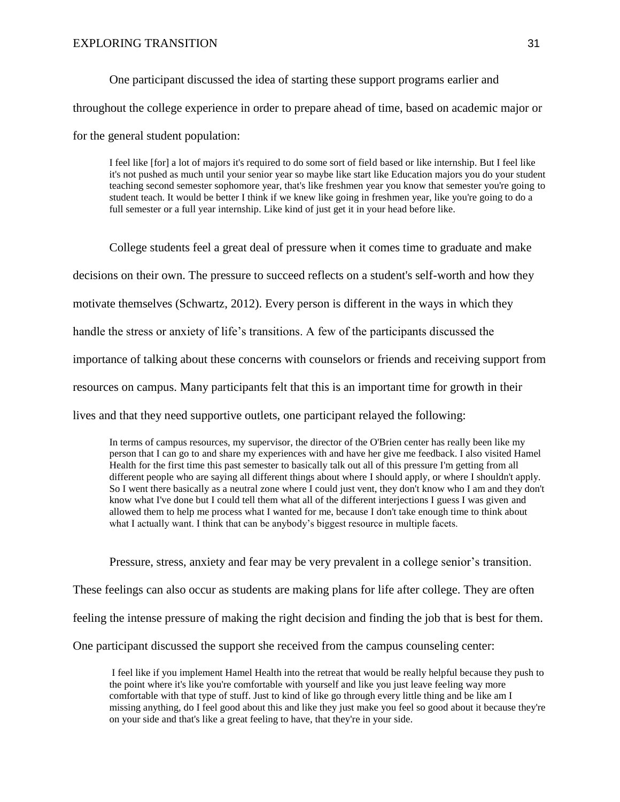One participant discussed the idea of starting these support programs earlier and throughout the college experience in order to prepare ahead of time, based on academic major or for the general student population:

I feel like [for] a lot of majors it's required to do some sort of field based or like internship. But I feel like it's not pushed as much until your senior year so maybe like start like Education majors you do your student teaching second semester sophomore year, that's like freshmen year you know that semester you're going to student teach. It would be better I think if we knew like going in freshmen year, like you're going to do a full semester or a full year internship. Like kind of just get it in your head before like.

College students feel a great deal of pressure when it comes time to graduate and make decisions on their own. The pressure to succeed reflects on a student's self-worth and how they motivate themselves (Schwartz, 2012). Every person is different in the ways in which they handle the stress or anxiety of life's transitions. A few of the participants discussed the importance of talking about these concerns with counselors or friends and receiving support from resources on campus. Many participants felt that this is an important time for growth in their lives and that they need supportive outlets, one participant relayed the following:

In terms of campus resources, my supervisor, the director of the O'Brien center has really been like my person that I can go to and share my experiences with and have her give me feedback. I also visited Hamel Health for the first time this past semester to basically talk out all of this pressure I'm getting from all different people who are saying all different things about where I should apply, or where I shouldn't apply. So I went there basically as a neutral zone where I could just vent, they don't know who I am and they don't know what I've done but I could tell them what all of the different interjections I guess I was given and allowed them to help me process what I wanted for me, because I don't take enough time to think about what I actually want. I think that can be anybody's biggest resource in multiple facets.

Pressure, stress, anxiety and fear may be very prevalent in a college senior's transition. These feelings can also occur as students are making plans for life after college. They are often feeling the intense pressure of making the right decision and finding the job that is best for them. One participant discussed the support she received from the campus counseling center:

I feel like if you implement Hamel Health into the retreat that would be really helpful because they push to the point where it's like you're comfortable with yourself and like you just leave feeling way more comfortable with that type of stuff. Just to kind of like go through every little thing and be like am I missing anything, do I feel good about this and like they just make you feel so good about it because they're on your side and that's like a great feeling to have, that they're in your side.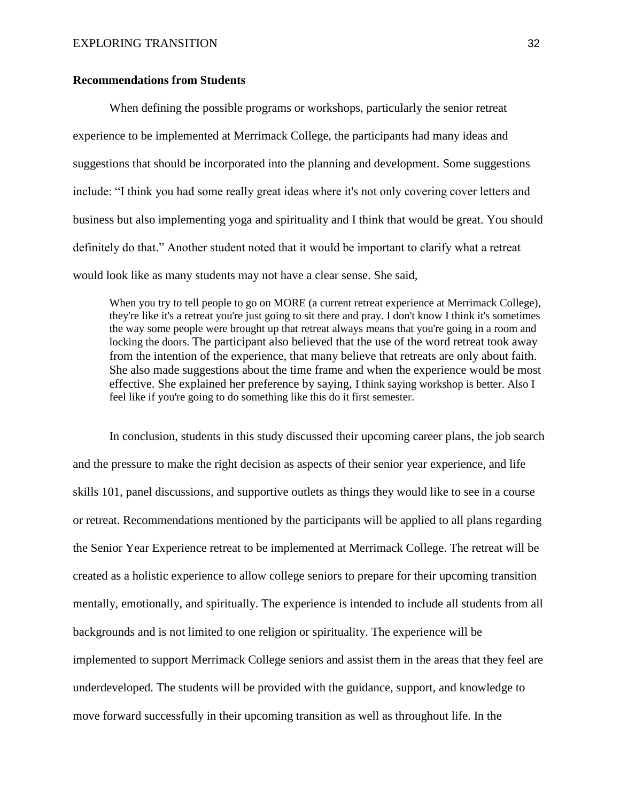## **Recommendations from Students**

When defining the possible programs or workshops, particularly the senior retreat experience to be implemented at Merrimack College, the participants had many ideas and suggestions that should be incorporated into the planning and development. Some suggestions include: "I think you had some really great ideas where it's not only covering cover letters and business but also implementing yoga and spirituality and I think that would be great. You should definitely do that." Another student noted that it would be important to clarify what a retreat would look like as many students may not have a clear sense. She said,

When you try to tell people to go on MORE (a current retreat experience at Merrimack College), they're like it's a retreat you're just going to sit there and pray. I don't know I think it's sometimes the way some people were brought up that retreat always means that you're going in a room and locking the doors. The participant also believed that the use of the word retreat took away from the intention of the experience, that many believe that retreats are only about faith. She also made suggestions about the time frame and when the experience would be most effective. She explained her preference by saying, I think saying workshop is better. Also I feel like if you're going to do something like this do it first semester.

In conclusion, students in this study discussed their upcoming career plans, the job search and the pressure to make the right decision as aspects of their senior year experience, and life skills 101, panel discussions, and supportive outlets as things they would like to see in a course or retreat. Recommendations mentioned by the participants will be applied to all plans regarding the Senior Year Experience retreat to be implemented at Merrimack College. The retreat will be created as a holistic experience to allow college seniors to prepare for their upcoming transition mentally, emotionally, and spiritually. The experience is intended to include all students from all backgrounds and is not limited to one religion or spirituality. The experience will be implemented to support Merrimack College seniors and assist them in the areas that they feel are underdeveloped. The students will be provided with the guidance, support, and knowledge to move forward successfully in their upcoming transition as well as throughout life. In the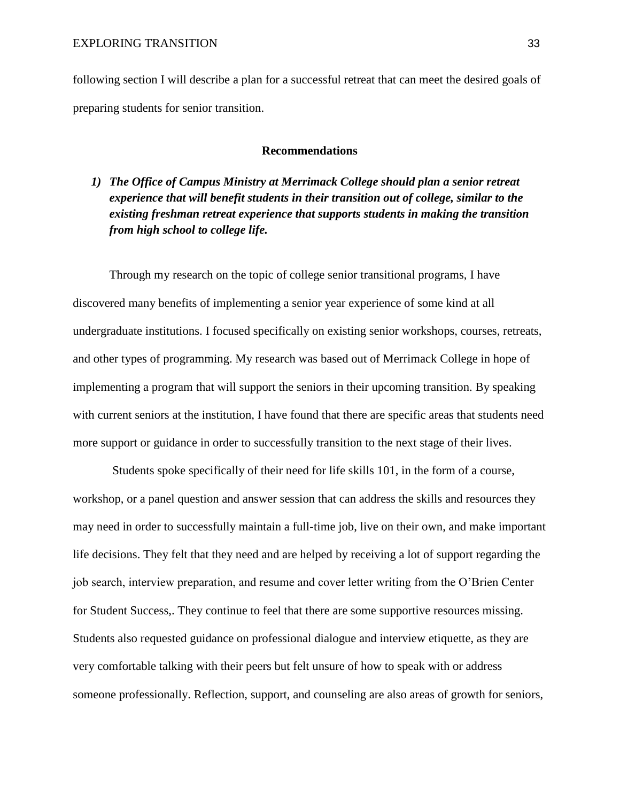following section I will describe a plan for a successful retreat that can meet the desired goals of preparing students for senior transition.

# **Recommendations**

*1) The Office of Campus Ministry at Merrimack College should plan a senior retreat experience that will benefit students in their transition out of college, similar to the existing freshman retreat experience that supports students in making the transition from high school to college life.*

Through my research on the topic of college senior transitional programs, I have discovered many benefits of implementing a senior year experience of some kind at all undergraduate institutions. I focused specifically on existing senior workshops, courses, retreats, and other types of programming. My research was based out of Merrimack College in hope of implementing a program that will support the seniors in their upcoming transition. By speaking with current seniors at the institution, I have found that there are specific areas that students need more support or guidance in order to successfully transition to the next stage of their lives.

Students spoke specifically of their need for life skills 101, in the form of a course, workshop, or a panel question and answer session that can address the skills and resources they may need in order to successfully maintain a full-time job, live on their own, and make important life decisions. They felt that they need and are helped by receiving a lot of support regarding the job search, interview preparation, and resume and cover letter writing from the O'Brien Center for Student Success,. They continue to feel that there are some supportive resources missing. Students also requested guidance on professional dialogue and interview etiquette, as they are very comfortable talking with their peers but felt unsure of how to speak with or address someone professionally. Reflection, support, and counseling are also areas of growth for seniors,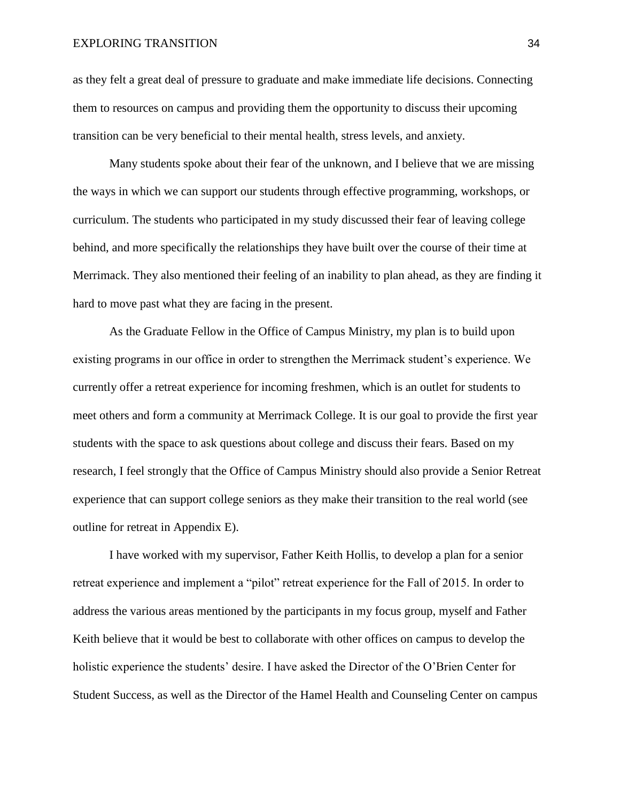as they felt a great deal of pressure to graduate and make immediate life decisions. Connecting them to resources on campus and providing them the opportunity to discuss their upcoming transition can be very beneficial to their mental health, stress levels, and anxiety.

Many students spoke about their fear of the unknown, and I believe that we are missing the ways in which we can support our students through effective programming, workshops, or curriculum. The students who participated in my study discussed their fear of leaving college behind, and more specifically the relationships they have built over the course of their time at Merrimack. They also mentioned their feeling of an inability to plan ahead, as they are finding it hard to move past what they are facing in the present.

As the Graduate Fellow in the Office of Campus Ministry, my plan is to build upon existing programs in our office in order to strengthen the Merrimack student's experience. We currently offer a retreat experience for incoming freshmen, which is an outlet for students to meet others and form a community at Merrimack College. It is our goal to provide the first year students with the space to ask questions about college and discuss their fears. Based on my research, I feel strongly that the Office of Campus Ministry should also provide a Senior Retreat experience that can support college seniors as they make their transition to the real world (see outline for retreat in Appendix E).

I have worked with my supervisor, Father Keith Hollis, to develop a plan for a senior retreat experience and implement a "pilot" retreat experience for the Fall of 2015. In order to address the various areas mentioned by the participants in my focus group, myself and Father Keith believe that it would be best to collaborate with other offices on campus to develop the holistic experience the students' desire. I have asked the Director of the O'Brien Center for Student Success, as well as the Director of the Hamel Health and Counseling Center on campus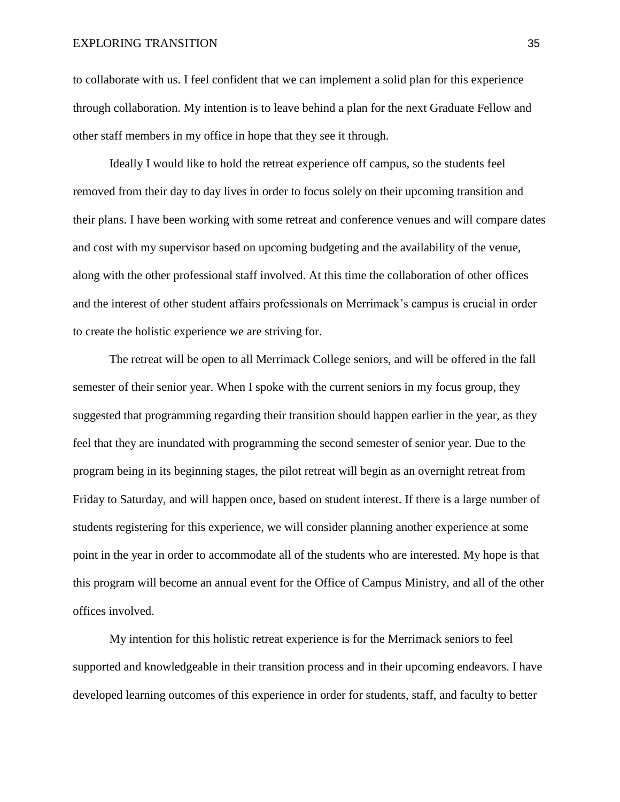to collaborate with us. I feel confident that we can implement a solid plan for this experience through collaboration. My intention is to leave behind a plan for the next Graduate Fellow and other staff members in my office in hope that they see it through.

Ideally I would like to hold the retreat experience off campus, so the students feel removed from their day to day lives in order to focus solely on their upcoming transition and their plans. I have been working with some retreat and conference venues and will compare dates and cost with my supervisor based on upcoming budgeting and the availability of the venue, along with the other professional staff involved. At this time the collaboration of other offices and the interest of other student affairs professionals on Merrimack's campus is crucial in order to create the holistic experience we are striving for.

The retreat will be open to all Merrimack College seniors, and will be offered in the fall semester of their senior year. When I spoke with the current seniors in my focus group, they suggested that programming regarding their transition should happen earlier in the year, as they feel that they are inundated with programming the second semester of senior year. Due to the program being in its beginning stages, the pilot retreat will begin as an overnight retreat from Friday to Saturday, and will happen once, based on student interest. If there is a large number of students registering for this experience, we will consider planning another experience at some point in the year in order to accommodate all of the students who are interested. My hope is that this program will become an annual event for the Office of Campus Ministry, and all of the other offices involved.

My intention for this holistic retreat experience is for the Merrimack seniors to feel supported and knowledgeable in their transition process and in their upcoming endeavors. I have developed learning outcomes of this experience in order for students, staff, and faculty to better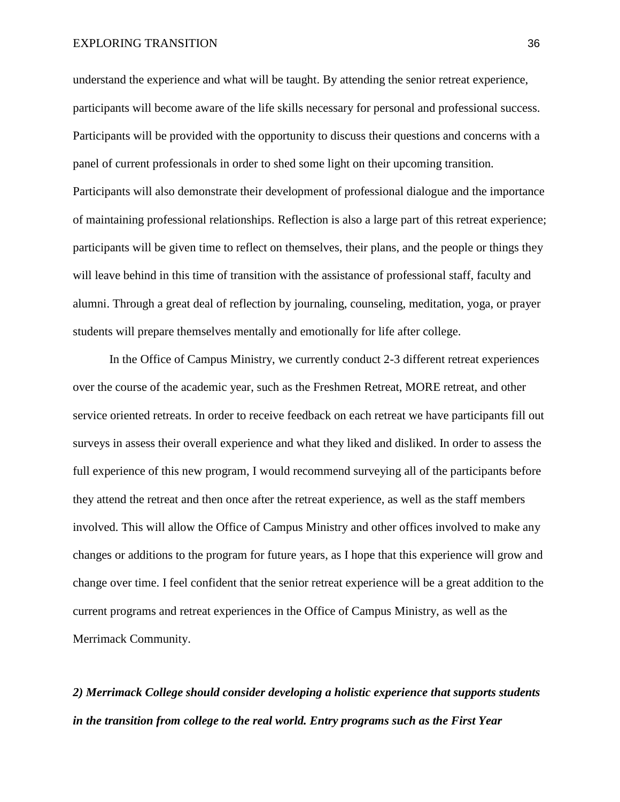understand the experience and what will be taught. By attending the senior retreat experience, participants will become aware of the life skills necessary for personal and professional success. Participants will be provided with the opportunity to discuss their questions and concerns with a panel of current professionals in order to shed some light on their upcoming transition. Participants will also demonstrate their development of professional dialogue and the importance of maintaining professional relationships. Reflection is also a large part of this retreat experience; participants will be given time to reflect on themselves, their plans, and the people or things they will leave behind in this time of transition with the assistance of professional staff, faculty and alumni. Through a great deal of reflection by journaling, counseling, meditation, yoga, or prayer students will prepare themselves mentally and emotionally for life after college.

In the Office of Campus Ministry, we currently conduct 2-3 different retreat experiences over the course of the academic year, such as the Freshmen Retreat, MORE retreat, and other service oriented retreats. In order to receive feedback on each retreat we have participants fill out surveys in assess their overall experience and what they liked and disliked. In order to assess the full experience of this new program, I would recommend surveying all of the participants before they attend the retreat and then once after the retreat experience, as well as the staff members involved. This will allow the Office of Campus Ministry and other offices involved to make any changes or additions to the program for future years, as I hope that this experience will grow and change over time. I feel confident that the senior retreat experience will be a great addition to the current programs and retreat experiences in the Office of Campus Ministry, as well as the Merrimack Community.

*2) Merrimack College should consider developing a holistic experience that supports students in the transition from college to the real world. Entry programs such as the First Year*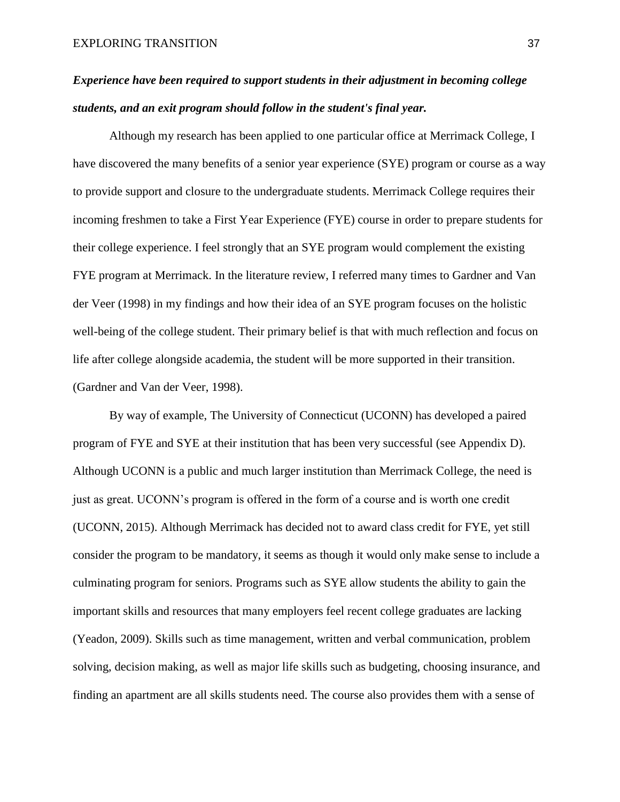# *Experience have been required to support students in their adjustment in becoming college students, and an exit program should follow in the student's final year.*

Although my research has been applied to one particular office at Merrimack College, I have discovered the many benefits of a senior year experience (SYE) program or course as a way to provide support and closure to the undergraduate students. Merrimack College requires their incoming freshmen to take a First Year Experience (FYE) course in order to prepare students for their college experience. I feel strongly that an SYE program would complement the existing FYE program at Merrimack. In the literature review, I referred many times to Gardner and Van der Veer (1998) in my findings and how their idea of an SYE program focuses on the holistic well-being of the college student. Their primary belief is that with much reflection and focus on life after college alongside academia, the student will be more supported in their transition. (Gardner and Van der Veer, 1998).

By way of example, The University of Connecticut (UCONN) has developed a paired program of FYE and SYE at their institution that has been very successful (see Appendix D). Although UCONN is a public and much larger institution than Merrimack College, the need is just as great. UCONN's program is offered in the form of a course and is worth one credit (UCONN, 2015). Although Merrimack has decided not to award class credit for FYE, yet still consider the program to be mandatory, it seems as though it would only make sense to include a culminating program for seniors. Programs such as SYE allow students the ability to gain the important skills and resources that many employers feel recent college graduates are lacking (Yeadon, 2009). Skills such as time management, written and verbal communication, problem solving, decision making, as well as major life skills such as budgeting, choosing insurance, and finding an apartment are all skills students need. The course also provides them with a sense of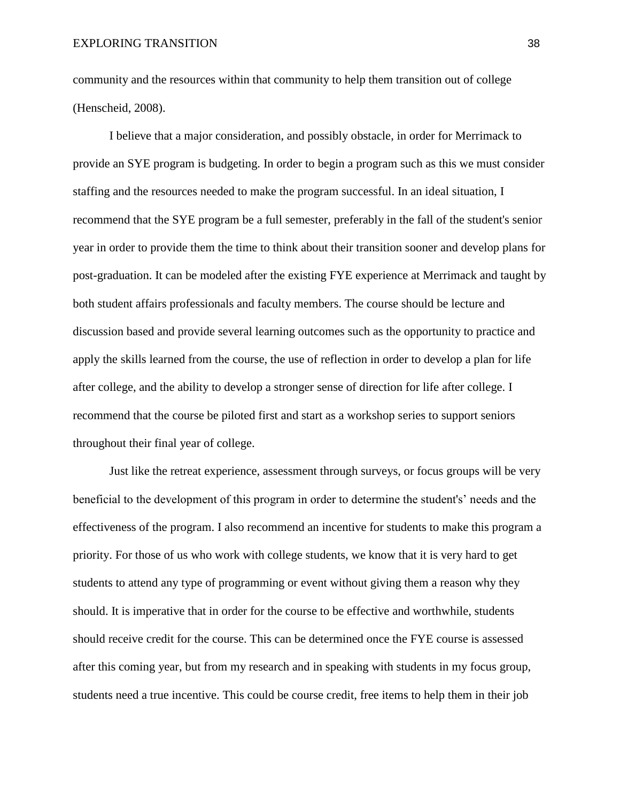community and the resources within that community to help them transition out of college (Henscheid, 2008).

I believe that a major consideration, and possibly obstacle, in order for Merrimack to provide an SYE program is budgeting. In order to begin a program such as this we must consider staffing and the resources needed to make the program successful. In an ideal situation, I recommend that the SYE program be a full semester, preferably in the fall of the student's senior year in order to provide them the time to think about their transition sooner and develop plans for post-graduation. It can be modeled after the existing FYE experience at Merrimack and taught by both student affairs professionals and faculty members. The course should be lecture and discussion based and provide several learning outcomes such as the opportunity to practice and apply the skills learned from the course, the use of reflection in order to develop a plan for life after college, and the ability to develop a stronger sense of direction for life after college. I recommend that the course be piloted first and start as a workshop series to support seniors throughout their final year of college.

Just like the retreat experience, assessment through surveys, or focus groups will be very beneficial to the development of this program in order to determine the student's' needs and the effectiveness of the program. I also recommend an incentive for students to make this program a priority. For those of us who work with college students, we know that it is very hard to get students to attend any type of programming or event without giving them a reason why they should. It is imperative that in order for the course to be effective and worthwhile, students should receive credit for the course. This can be determined once the FYE course is assessed after this coming year, but from my research and in speaking with students in my focus group, students need a true incentive. This could be course credit, free items to help them in their job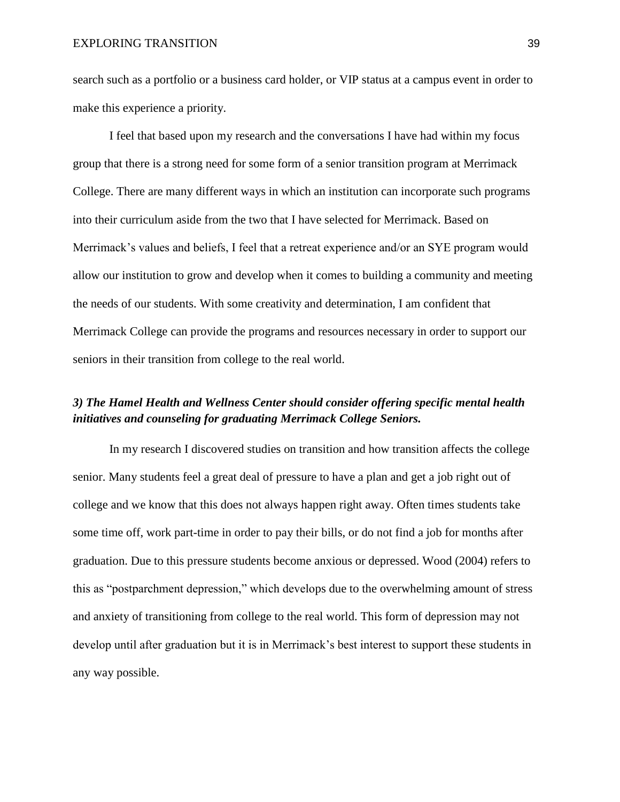search such as a portfolio or a business card holder, or VIP status at a campus event in order to make this experience a priority.

I feel that based upon my research and the conversations I have had within my focus group that there is a strong need for some form of a senior transition program at Merrimack College. There are many different ways in which an institution can incorporate such programs into their curriculum aside from the two that I have selected for Merrimack. Based on Merrimack's values and beliefs, I feel that a retreat experience and/or an SYE program would allow our institution to grow and develop when it comes to building a community and meeting the needs of our students. With some creativity and determination, I am confident that Merrimack College can provide the programs and resources necessary in order to support our seniors in their transition from college to the real world.

# *3) The Hamel Health and Wellness Center should consider offering specific mental health initiatives and counseling for graduating Merrimack College Seniors.*

In my research I discovered studies on transition and how transition affects the college senior. Many students feel a great deal of pressure to have a plan and get a job right out of college and we know that this does not always happen right away. Often times students take some time off, work part-time in order to pay their bills, or do not find a job for months after graduation. Due to this pressure students become anxious or depressed. Wood (2004) refers to this as "postparchment depression," which develops due to the overwhelming amount of stress and anxiety of transitioning from college to the real world. This form of depression may not develop until after graduation but it is in Merrimack's best interest to support these students in any way possible.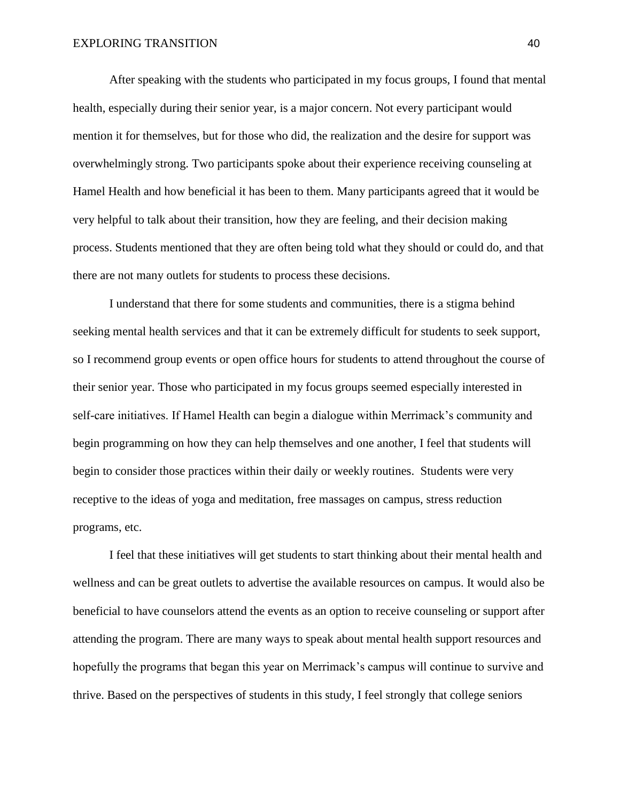After speaking with the students who participated in my focus groups, I found that mental health, especially during their senior year, is a major concern. Not every participant would mention it for themselves, but for those who did, the realization and the desire for support was overwhelmingly strong. Two participants spoke about their experience receiving counseling at Hamel Health and how beneficial it has been to them. Many participants agreed that it would be very helpful to talk about their transition, how they are feeling, and their decision making process. Students mentioned that they are often being told what they should or could do, and that there are not many outlets for students to process these decisions.

I understand that there for some students and communities, there is a stigma behind seeking mental health services and that it can be extremely difficult for students to seek support, so I recommend group events or open office hours for students to attend throughout the course of their senior year. Those who participated in my focus groups seemed especially interested in self-care initiatives. If Hamel Health can begin a dialogue within Merrimack's community and begin programming on how they can help themselves and one another, I feel that students will begin to consider those practices within their daily or weekly routines. Students were very receptive to the ideas of yoga and meditation, free massages on campus, stress reduction programs, etc.

I feel that these initiatives will get students to start thinking about their mental health and wellness and can be great outlets to advertise the available resources on campus. It would also be beneficial to have counselors attend the events as an option to receive counseling or support after attending the program. There are many ways to speak about mental health support resources and hopefully the programs that began this year on Merrimack's campus will continue to survive and thrive. Based on the perspectives of students in this study, I feel strongly that college seniors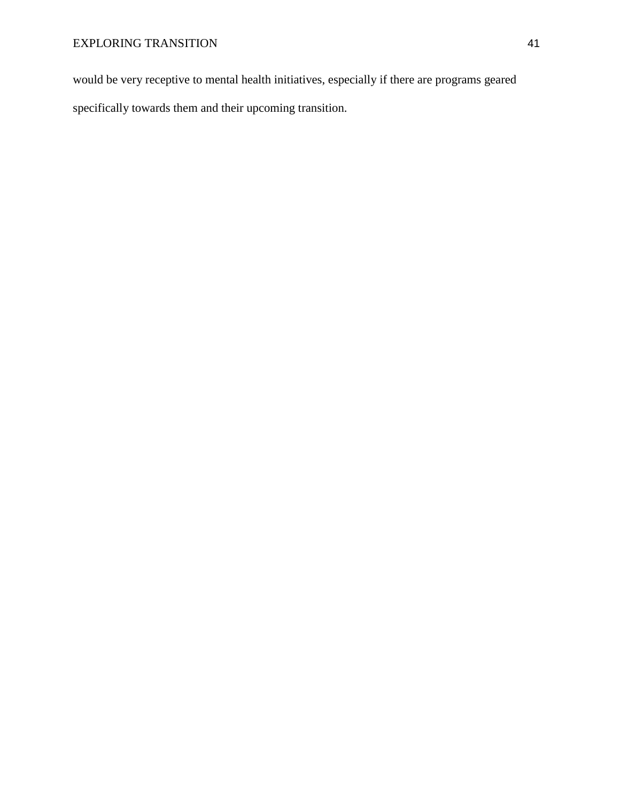would be very receptive to mental health initiatives, especially if there are programs geared specifically towards them and their upcoming transition.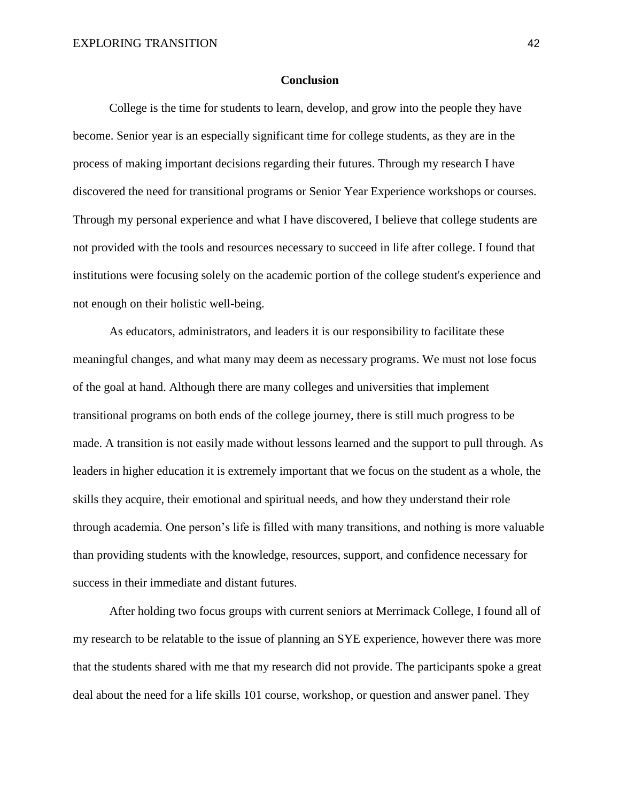#### **Conclusion**

College is the time for students to learn, develop, and grow into the people they have become. Senior year is an especially significant time for college students, as they are in the process of making important decisions regarding their futures. Through my research I have discovered the need for transitional programs or Senior Year Experience workshops or courses. Through my personal experience and what I have discovered, I believe that college students are not provided with the tools and resources necessary to succeed in life after college. I found that institutions were focusing solely on the academic portion of the college student's experience and not enough on their holistic well-being.

As educators, administrators, and leaders it is our responsibility to facilitate these meaningful changes, and what many may deem as necessary programs. We must not lose focus of the goal at hand. Although there are many colleges and universities that implement transitional programs on both ends of the college journey, there is still much progress to be made. A transition is not easily made without lessons learned and the support to pull through. As leaders in higher education it is extremely important that we focus on the student as a whole, the skills they acquire, their emotional and spiritual needs, and how they understand their role through academia. One person's life is filled with many transitions, and nothing is more valuable than providing students with the knowledge, resources, support, and confidence necessary for success in their immediate and distant futures.

After holding two focus groups with current seniors at Merrimack College, I found all of my research to be relatable to the issue of planning an SYE experience, however there was more that the students shared with me that my research did not provide. The participants spoke a great deal about the need for a life skills 101 course, workshop, or question and answer panel. They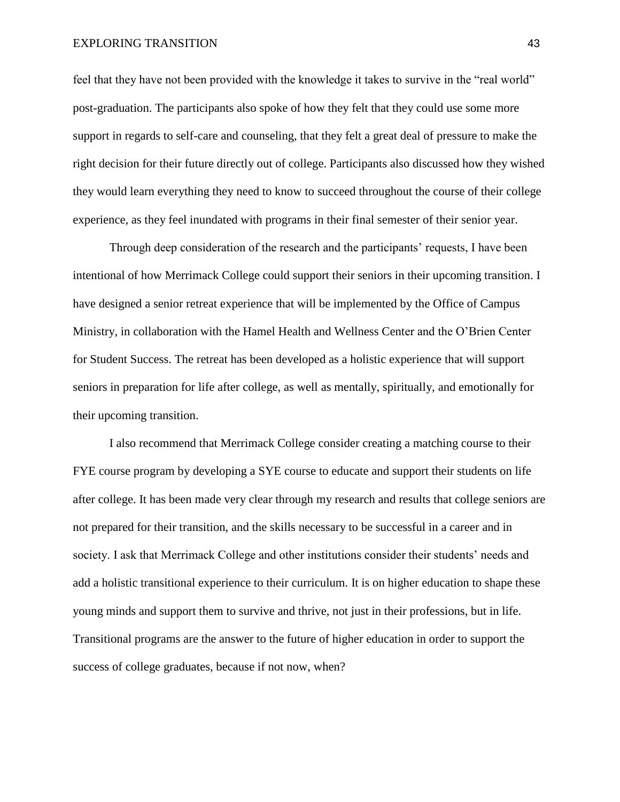#### EXPLORING TRANSITION 43

feel that they have not been provided with the knowledge it takes to survive in the "real world" post-graduation. The participants also spoke of how they felt that they could use some more support in regards to self-care and counseling, that they felt a great deal of pressure to make the right decision for their future directly out of college. Participants also discussed how they wished they would learn everything they need to know to succeed throughout the course of their college experience, as they feel inundated with programs in their final semester of their senior year.

Through deep consideration of the research and the participants' requests, I have been intentional of how Merrimack College could support their seniors in their upcoming transition. I have designed a senior retreat experience that will be implemented by the Office of Campus Ministry, in collaboration with the Hamel Health and Wellness Center and the O'Brien Center for Student Success. The retreat has been developed as a holistic experience that will support seniors in preparation for life after college, as well as mentally, spiritually, and emotionally for their upcoming transition.

I also recommend that Merrimack College consider creating a matching course to their FYE course program by developing a SYE course to educate and support their students on life after college. It has been made very clear through my research and results that college seniors are not prepared for their transition, and the skills necessary to be successful in a career and in society. I ask that Merrimack College and other institutions consider their students' needs and add a holistic transitional experience to their curriculum. It is on higher education to shape these young minds and support them to survive and thrive, not just in their professions, but in life. Transitional programs are the answer to the future of higher education in order to support the success of college graduates, because if not now, when?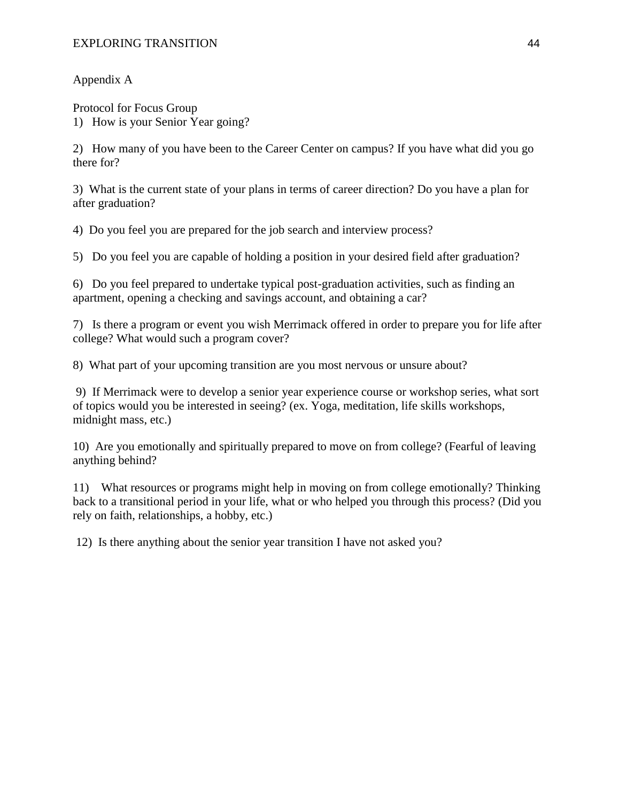Appendix A

Protocol for Focus Group 1) How is your Senior Year going?

2) How many of you have been to the Career Center on campus? If you have what did you go there for?

3) What is the current state of your plans in terms of career direction? Do you have a plan for after graduation?

4) Do you feel you are prepared for the job search and interview process?

5) Do you feel you are capable of holding a position in your desired field after graduation?

6) Do you feel prepared to undertake typical post-graduation activities, such as finding an apartment, opening a checking and savings account, and obtaining a car?

7) Is there a program or event you wish Merrimack offered in order to prepare you for life after college? What would such a program cover?

8) What part of your upcoming transition are you most nervous or unsure about?

9) If Merrimack were to develop a senior year experience course or workshop series, what sort of topics would you be interested in seeing? (ex. Yoga, meditation, life skills workshops, midnight mass, etc.)

10) Are you emotionally and spiritually prepared to move on from college? (Fearful of leaving anything behind?

11) What resources or programs might help in moving on from college emotionally? Thinking back to a transitional period in your life, what or who helped you through this process? (Did you rely on faith, relationships, a hobby, etc.)

12) Is there anything about the senior year transition I have not asked you?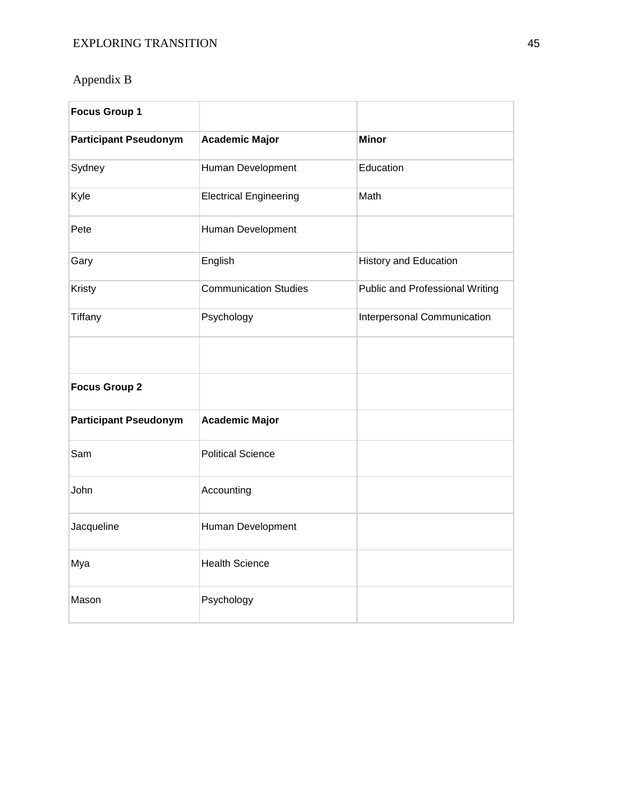# Appendix B

| <b>Focus Group 1</b>         |                               |                                 |
|------------------------------|-------------------------------|---------------------------------|
| <b>Participant Pseudonym</b> | <b>Academic Major</b>         | <b>Minor</b>                    |
| Sydney                       | Human Development             | Education                       |
| Kyle                         | <b>Electrical Engineering</b> | Math                            |
| Pete                         | Human Development             |                                 |
| Gary                         | English                       | <b>History and Education</b>    |
| Kristy                       | <b>Communication Studies</b>  | Public and Professional Writing |
| Tiffany                      | Psychology                    | Interpersonal Communication     |
|                              |                               |                                 |
| <b>Focus Group 2</b>         |                               |                                 |
| <b>Participant Pseudonym</b> | <b>Academic Major</b>         |                                 |
| Sam                          | <b>Political Science</b>      |                                 |
| John                         | Accounting                    |                                 |
| Jacqueline                   | Human Development             |                                 |
| Mya                          | <b>Health Science</b>         |                                 |
| Mason                        | Psychology                    |                                 |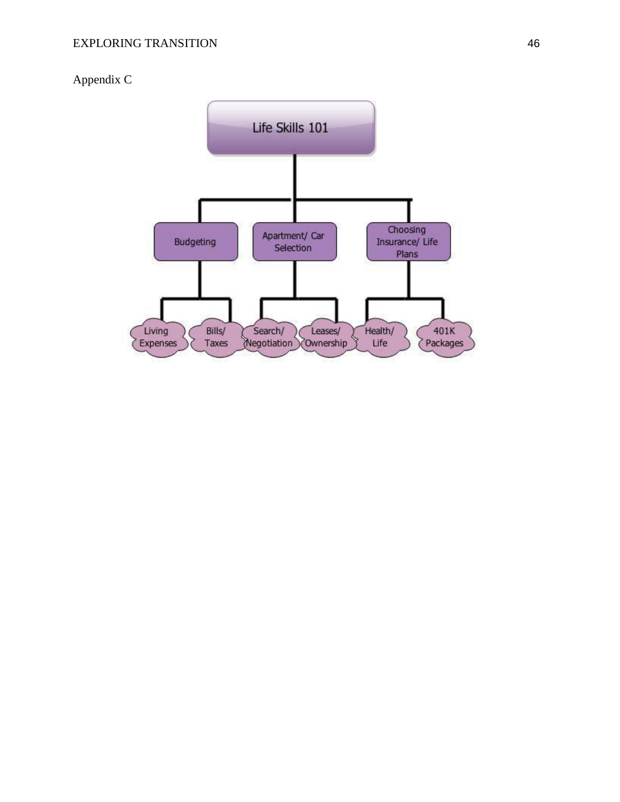# Appendix C

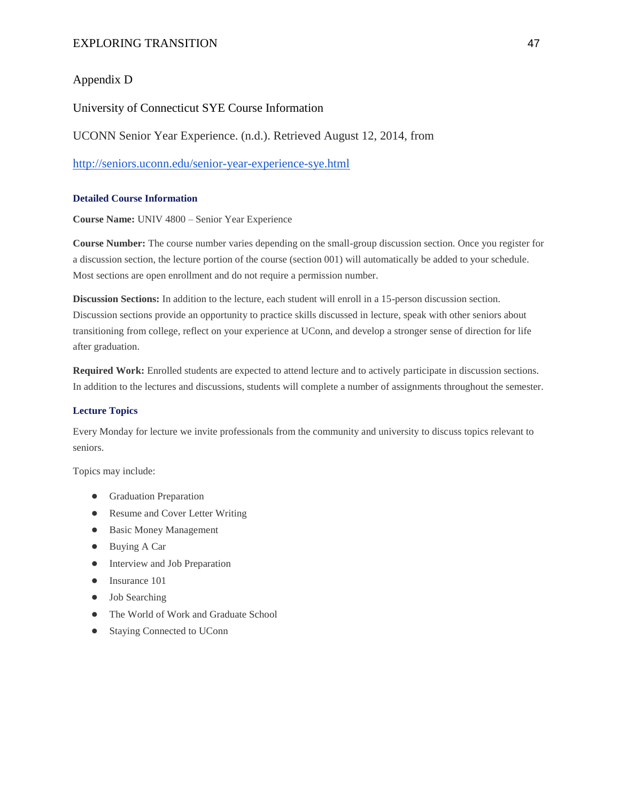# EXPLORING TRANSITION 47

# Appendix D

### University of Connecticut SYE Course Information

UCONN Senior Year Experience. (n.d.). Retrieved August 12, 2014, fro[m](http://seniors.uconn.edu/senior-year-experience-sye.html)

<http://seniors.uconn.edu/senior-year-experience-sye.html>

#### **Detailed Course Information**

**Course Name:** UNIV 4800 – Senior Year Experience

**Course Number:** The course number varies depending on the small-group discussion section. Once you register for a discussion section, the lecture portion of the course (section 001) will automatically be added to your schedule. Most sections are open enrollment and do not require a permission number.

**Discussion Sections:** In addition to the lecture, each student will enroll in a 15-person discussion section. Discussion sections provide an opportunity to practice skills discussed in lecture, speak with other seniors about transitioning from college, reflect on your experience at UConn, and develop a stronger sense of direction for life after graduation.

**Required Work:** Enrolled students are expected to attend lecture and to actively participate in discussion sections. In addition to the lectures and discussions, students will complete a number of assignments throughout the semester.

#### **Lecture Topics**

Every Monday for lecture we invite professionals from the community and university to discuss topics relevant to seniors.

Topics may include:

- Graduation Preparation
- Resume and Cover Letter Writing
- Basic Money Management
- Buying A Car
- Interview and Job Preparation
- Insurance 101
- Job Searching
- The World of Work and Graduate School
- Staying Connected to UConn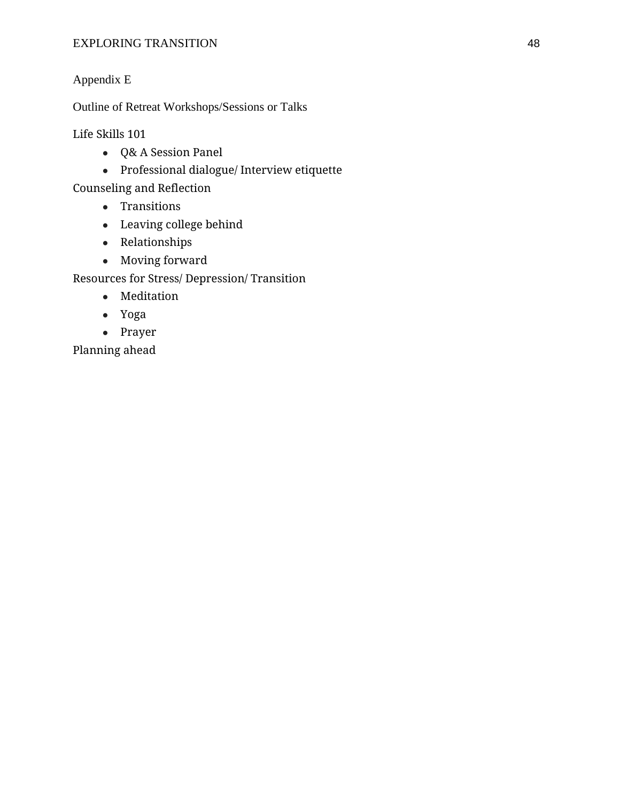# EXPLORING TRANSITION 48

# Appendix E

Outline of Retreat Workshops/Sessions or Talks

Life Skills 101

- Q& A Session Panel
- Professional dialogue/ Interview etiquette

Counseling and Reflection

- Transitions
- Leaving college behind
- Relationships
- Moving forward

Resources for Stress/ Depression/ Transition

- Meditation
- Yoga
- Prayer

Planning ahead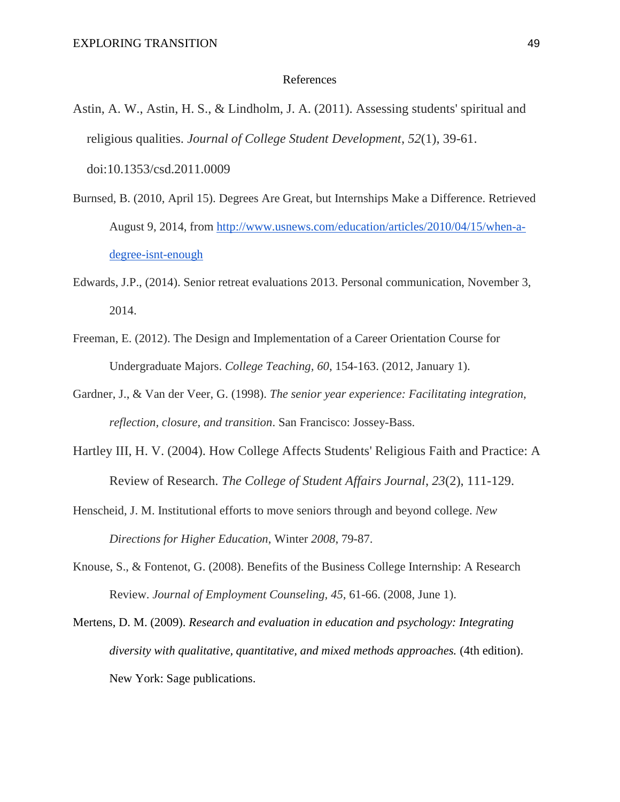#### References

Astin, A. W., Astin, H. S., & Lindholm, J. A. (2011). Assessing students' spiritual and religious qualities. *Journal of College Student Development*, *52*(1), 39-61.

doi:10.1353/csd.2011.0009

- Burnsed, B. (2010, April 15). Degrees Are Great, but Internships Make a Difference. Retrieved August 9, 2014, from [http://www.usnews.com/education/articles/2010/04/15/when-a](http://www.usnews.com/education/articles/2010/04/15/when-a-degree-isnt-enough)[degree-isnt-enough](http://www.usnews.com/education/articles/2010/04/15/when-a-degree-isnt-enough)
- Edwards, J.P., (2014). Senior retreat evaluations 2013. Personal communication, November 3, 2014.
- Freeman, E. (2012). The Design and Implementation of a Career Orientation Course for Undergraduate Majors. *College Teaching, 60*, 154-163. (2012, January 1).
- Gardner, J., & Van der Veer, G. (1998). *The senior year experience: Facilitating integration, reflection, closure, and transition*. San Francisco: Jossey-Bass.
- Hartley III, H. V. (2004). How College Affects Students' Religious Faith and Practice: A Review of Research. *The College of Student Affairs Journal*, *23*(2), 111-129.
- Henscheid, J. M. Institutional efforts to move seniors through and beyond college. *New Directions for Higher Education*, Winter *2008*, 79-87.
- Knouse, S., & Fontenot, G. (2008). Benefits of the Business College Internship: A Research Review. *Journal of Employment Counseling, 45*, 61-66. (2008, June 1).
- Mertens, D. M. (2009). *Research and evaluation in education and psychology: Integrating diversity with qualitative, quantitative, and mixed methods approaches.* (4th edition). New York: Sage publications.